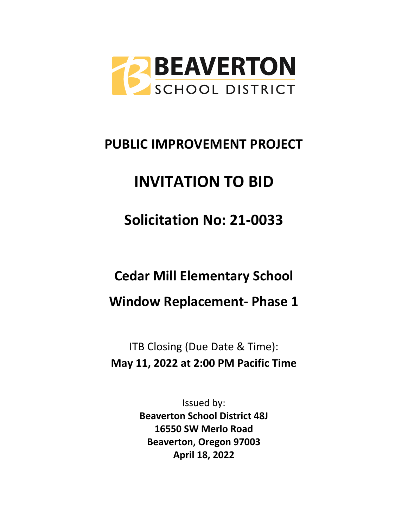

# **PUBLIC IMPROVEMENT PROJECT**

# **INVITATION TO BID**

**Solicitation No: 21-0033**

**Cedar Mill Elementary School**

**Window Replacement- Phase 1**

ITB Closing (Due Date & Time): **May 11, 2022 at 2:00 PM Pacific Time**

> Issued by: **Beaverton School District 48J 16550 SW Merlo Road Beaverton, Oregon 97003 April 18, 2022**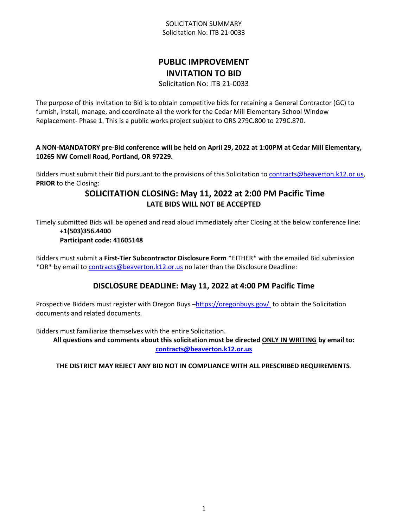## SOLICITATION SUMMARY Solicitation No: ITB 21-0033

## **PUBLIC IMPROVEMENT INVITATION TO BID**

Solicitation No: ITB 21-0033

The purpose of this Invitation to Bid is to obtain competitive bids for retaining a General Contractor (GC) to furnish, install, manage, and coordinate all the work for the Cedar Mill Elementary School Window Replacement- Phase 1. This is a public works project subject to ORS 279C.800 to 279C.870.

## **A NON-MANDATORY pre-Bid conference will be held on April 29, 2022 at 1:00PM at Cedar Mill Elementary, 10265 NW Cornell Road, Portland, OR 97229.**

Bidders must submit their Bid pursuant to the provisions of this Solicitation to [contracts@beaverton.k12.or.us,](mailto:contracts@beaverton.k12.or.us) **PRIOR** to the Closing:

## **SOLICITATION CLOSING: May 11, 2022 at 2:00 PM Pacific Time LATE BIDS WILL NOT BE ACCEPTED**

Timely submitted Bids will be opened and read aloud immediately after Closing at the below conference line: **+1(503)356.4400**

## **Participant code: 41605148**

Bidders must submit a **First-Tier Subcontractor Disclosure Form** \*EITHER\* with the emailed Bid submission \*OR\* by email to [contracts@beaverton.k12.or.us](mailto:contracts@beaverton.k12.or.us) no later than the Disclosure Deadline:

## **DISCLOSURE DEADLINE: May 11, 2022 at 4:00 PM Pacific Time**

Prospective Bidders must register with Oregon Buys -<https://oregonbuys.gov/>to obtain the Solicitation documents and related documents.

Bidders must familiarize themselves with the entire Solicitation.

**All questions and comments about this solicitation must be directed ONLY IN WRITING by email to: [contracts@beaverton.k12.or.us](mailto:contracts@beaverton.k12.or.us)**

## **THE DISTRICT MAY REJECT ANY BID NOT IN COMPLIANCE WITH ALL PRESCRIBED REQUIREMENTS**.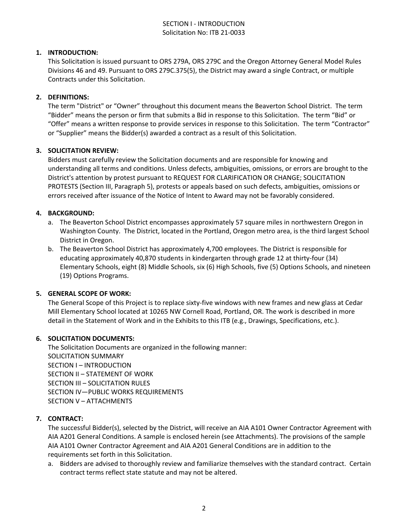## SECTION I - INTRODUCTION Solicitation No: ITB 21-0033

## **1. INTRODUCTION:**

This Solicitation is issued pursuant to ORS 279A, ORS 279C and the Oregon Attorney General Model Rules Divisions 46 and 49. Pursuant to ORS 279C.375(5), the District may award a single Contract, or multiple Contracts under this Solicitation.

#### **2. DEFINITIONS:**

The term "District" or "Owner" throughout this document means the Beaverton School District. The term "Bidder" means the person or firm that submits a Bid in response to this Solicitation. The term "Bid" or "Offer" means a written response to provide services in response to this Solicitation. The term "Contractor" or "Supplier" means the Bidder(s) awarded a contract as a result of this Solicitation.

#### **3. SOLICITATION REVIEW:**

Bidders must carefully review the Solicitation documents and are responsible for knowing and understanding all terms and conditions. Unless defects, ambiguities, omissions, or errors are brought to the District's attention by protest pursuant to REQUEST FOR CLARIFICATION OR CHANGE; SOLICITATION PROTESTS (Section III, Paragraph 5), protests or appeals based on such defects, ambiguities, omissions or errors received after issuance of the Notice of Intent to Award may not be favorably considered.

## **4. BACKGROUND:**

- a. The Beaverton School District encompasses approximately 57 square miles in northwestern Oregon in Washington County. The District, located in the Portland, Oregon metro area, is the third largest School District in Oregon.
- b. The Beaverton School District has approximately 4,700 employees. The District is responsible for educating approximately 40,870 students in kindergarten through grade 12 at thirty-four (34) Elementary Schools, eight (8) Middle Schools, six (6) High Schools, five (5) Options Schools, and nineteen (19) Options Programs.

#### **5. GENERAL SCOPE OF WORK:**

The General Scope of this Project is to replace sixty-five windows with new frames and new glass at Cedar Mill Elementary School located at 10265 NW Cornell Road, Portland, OR. The work is described in more detail in the Statement of Work and in the Exhibits to this ITB (e.g., Drawings, Specifications, etc.).

#### **6. SOLICITATION DOCUMENTS:**

The Solicitation Documents are organized in the following manner: SOLICITATION SUMMARY SECTION I – INTRODUCTION SECTION II – STATEMENT OF WORK SECTION III – SOLICITATION RULES SECTION IV—PUBLIC WORKS REQUIREMENTS SECTION V – ATTACHMENTS

#### **7. CONTRACT:**

The successful Bidder(s), selected by the District, will receive an AIA A101 Owner Contractor Agreement with AIA A201 General Conditions. A sample is enclosed herein (see Attachments). The provisions of the sample AIA A101 Owner Contractor Agreement and AIA A201 General Conditions are in addition to the requirements set forth in this Solicitation.

a. Bidders are advised to thoroughly review and familiarize themselves with the standard contract. Certain contract terms reflect state statute and may not be altered.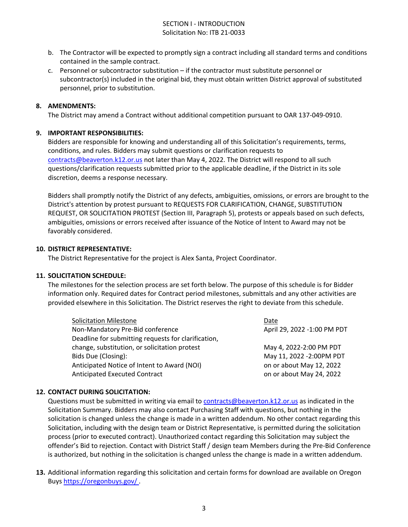## SECTION I - INTRODUCTION Solicitation No: ITB 21-0033

- b. The Contractor will be expected to promptly sign a contract including all standard terms and conditions contained in the sample contract.
- c. Personnel or subcontractor substitution if the contractor must substitute personnel or subcontractor(s) included in the original bid, they must obtain written District approval of substituted personnel, prior to substitution.

#### **8. AMENDMENTS:**

The District may amend a Contract without additional competition pursuant to OAR 137-049-0910.

#### **9. IMPORTANT RESPONSIBILITIES:**

Bidders are responsible for knowing and understanding all of this Solicitation's requirements, terms, conditions, and rules. Bidders may submit questions or clarification requests to [contracts@beaverton.k12.or.us](mailto:contracts@beaverton.k12.or.us) not later than May 4, 2022. The District will respond to all such questions/clarification requests submitted prior to the applicable deadline, if the District in its sole discretion, deems a response necessary.

Bidders shall promptly notify the District of any defects, ambiguities, omissions, or errors are brought to the District's attention by protest pursuant to REQUESTS FOR CLARIFICATION, CHANGE, SUBSTITUTION REQUEST, OR SOLICITATION PROTEST (Section III, Paragraph 5), protests or appeals based on such defects, ambiguities, omissions or errors received after issuance of the Notice of Intent to Award may not be favorably considered.

#### **10. DISTRICT REPRESENTATIVE:**

The District Representative for the project is Alex Santa, Project Coordinator.

#### **11. SOLICITATION SCHEDULE:**

The milestones for the selection process are set forth below. The purpose of this schedule is for Bidder information only. Required dates for Contract period milestones, submittals and any other activities are provided elsewhere in this Solicitation. The District reserves the right to deviate from this schedule.

| <b>Solicitation Milestone</b>                       | Date                        |
|-----------------------------------------------------|-----------------------------|
| Non-Mandatory Pre-Bid conference                    | April 29, 2022 -1:00 PM PDT |
| Deadline for submitting requests for clarification, |                             |
| change, substitution, or solicitation protest       | May 4, 2022-2:00 PM PDT     |
| Bids Due (Closing):                                 | May 11, 2022 -2:00PM PDT    |
| Anticipated Notice of Intent to Award (NOI)         | on or about May 12, 2022    |
| Anticipated Executed Contract                       | on or about May 24, 2022    |

## **12. CONTACT DURING SOLICITATION:**

Questions must be submitted in writing via email to [contracts@beaverton.k12.or.us](mailto:contracts@beaverton.k12.or.us) as indicated in the Solicitation Summary. Bidders may also contact Purchasing Staff with questions, but nothing in the solicitation is changed unless the change is made in a written addendum. No other contact regarding this Solicitation, including with the design team or District Representative, is permitted during the solicitation process (prior to executed contract). Unauthorized contact regarding this Solicitation may subject the offender's Bid to rejection. Contact with District Staff / design team Members during the Pre-Bid Conference is authorized, but nothing in the solicitation is changed unless the change is made in a written addendum.

**13.** Additional information regarding this solicitation and certain forms for download are available on Oregon Buys <https://oregonbuys.gov/> .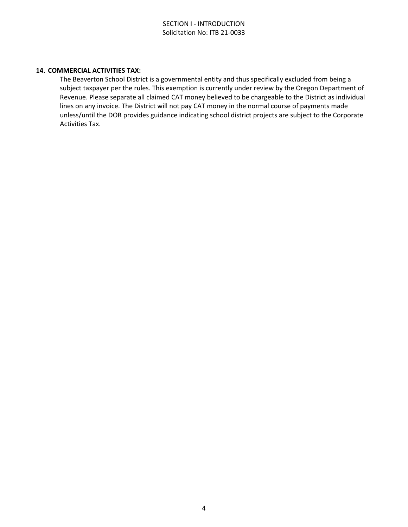#### **14. COMMERCIAL ACTIVITIES TAX:**

The Beaverton School District is a governmental entity and thus specifically excluded from being a subject taxpayer per the rules. This exemption is currently under review by the Oregon Department of Revenue. Please separate all claimed CAT money believed to be chargeable to the District as individual lines on any invoice. The District will not pay CAT money in the normal course of payments made unless/until the DOR provides guidance indicating school district projects are subject to the Corporate Activities Tax.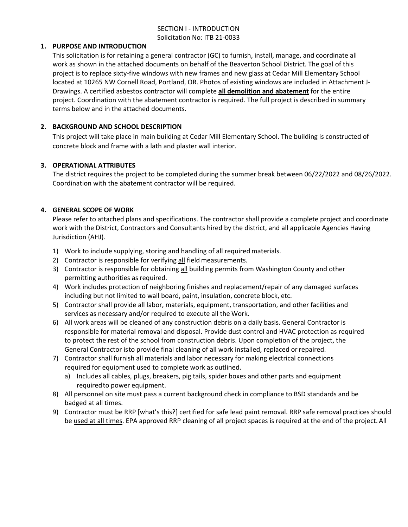## SECTION I - INTRODUCTION Solicitation No: ITB 21-0033

#### **1. PURPOSE AND INTRODUCTION**

This solicitation is for retaining a general contractor (GC) to furnish, install, manage, and coordinate all work as shown in the attached documents on behalf of the Beaverton School District. The goal of this project is to replace sixty-five windows with new frames and new glass at Cedar Mill Elementary School located at 10265 NW Cornell Road, Portland, OR. Photos of existing windows are included in Attachment J-Drawings. A certified asbestos contractor will complete **all demolition and abatement** for the entire project. Coordination with the abatement contractor is required. The full project is described in summary terms below and in the attached documents.

## **2. BACKGROUND AND SCHOOL DESCRIPTION**

This project will take place in main building at Cedar Mill Elementary School. The building is constructed of concrete block and frame with a lath and plaster wall interior.

## **3. OPERATIONAL ATTRIBUTES**

The district requires the project to be completed during the summer break between 06/22/2022 and 08/26/2022. Coordination with the abatement contractor will be required.

## **4. GENERAL SCOPE OF WORK**

Please refer to attached plans and specifications. The contractor shall provide a complete project and coordinate work with the District, Contractors and Consultants hired by the district, and all applicable Agencies Having Jurisdiction (AHJ).

- 1) Work to include supplying, storing and handling of all required materials.
- 2) Contractor is responsible for verifying all field measurements.
- 3) Contractor is responsible for obtaining all building permits from Washington County and other permitting authorities as required.
- 4) Work includes protection of neighboring finishes and replacement/repair of any damaged surfaces including but not limited to wall board, paint, insulation, concrete block, etc.
- 5) Contractor shall provide all labor, materials, equipment, transportation, and other facilities and services as necessary and/or required to execute all the Work.
- 6) All work areas will be cleaned of any construction debris on a daily basis. General Contractor is responsible for material removal and disposal. Provide dust control and HVAC protection as required to protect the rest of the school from construction debris. Upon completion of the project, the General Contractor is to provide final cleaning of all work installed, replaced or repaired.
- 7) Contractor shall furnish all materials and labor necessary for making electrical connections required for equipment used to complete work as outlined.
	- a) Includes all cables, plugs, breakers, pig tails, spider boxes and other parts and equipment required to power equipment.
- 8) All personnel on site must pass a current background check in compliance to BSD standards and be badged at all times.
- 9) Contractor must be RRP [what's this?] certified for safe lead paint removal. RRP safe removal practices should be used at all times. EPA approved RRP cleaning of all project spaces is required at the end of the project. All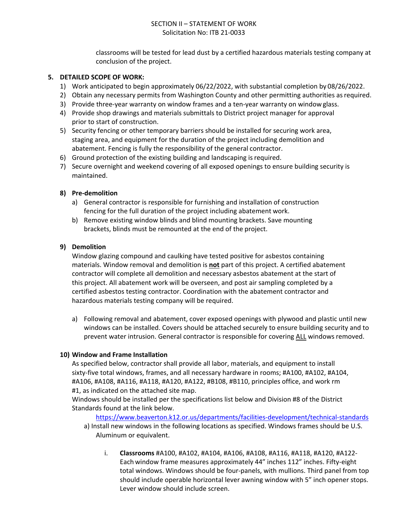classrooms will be tested for lead dust by a certified hazardous materials testing company at conclusion of the project.

#### **5. DETAILED SCOPE OF WORK:**

- 1) Work anticipated to begin approximately 06/22/2022, with substantial completion by 08/26/2022.
- 2) Obtain any necessary permits from Washington County and other permitting authorities as required.
- 3) Provide three-year warranty on window frames and a ten-year warranty on window glass.
- 4) Provide shop drawings and materials submittals to District project manager for approval prior to start of construction.
- 5) Security fencing or other temporary barriers should be installed for securing work area, staging area, and equipment for the duration of the project including demolition and abatement. Fencing is fully the responsibility of the general contractor.
- 6) Ground protection of the existing building and landscaping is required.
- 7) Secure overnight and weekend covering of all exposed openings to ensure building security is maintained.

## **8) Pre-demolition**

- a) General contractor is responsible for furnishing and installation of construction fencing for the full duration of the project including abatement work.
- b) Remove existing window blinds and blind mounting brackets. Save mounting brackets, blinds must be remounted at the end of the project.

## **9) Demolition**

Window glazing compound and caulking have tested positive for asbestos containing materials. Window removal and demolition is **not** part of this project. A certified abatement contractor will complete all demolition and necessary asbestos abatement at the start of this project. All abatement work will be overseen, and post air sampling completed by a certified asbestos testing contractor. Coordination with the abatement contractor and hazardous materials testing company will be required.

a) Following removal and abatement, cover exposed openings with plywood and plastic until new windows can be installed. Covers should be attached securely to ensure building security and to prevent water intrusion. General contractor is responsible for covering ALL windows removed.

#### **10) Window and Frame Installation**

As specified below, contractor shall provide all labor, materials, and equipment to install sixty-five total windows, frames, and all necessary hardware in rooms; #A100, #A102, #A104, #A106, #A108, #A116, #A118, #A120, #A122, #B108, #B110, principles office, and work rm #1, as indicated on the attached site map.

Windows should be installed per the specifications list below and Division #8 of the District Standards found at the link below.

<https://www.beaverton.k12.or.us/departments/facilities-development/technical-standards>

- a) Install new windows in the following locations as specified. Windows frames should be U.S. Aluminum or equivalent.
	- i. **Classrooms** #A100, #A102, #A104, #A106, #A108, #A116, #A118, #A120, #A122- Each window frame measures approximately 44" inches 112" inches. Fifty-eight total windows. Windows should be four-panels, with mullions. Third panel from top should include operable horizontal lever awning window with 5" inch opener stops. Lever window should include screen.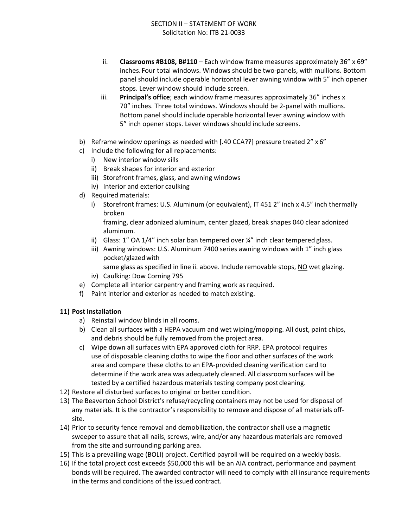- ii. **Classrooms #B108, B#110**  Each window frame measures approximately 36" x 69" inches. Four total windows. Windows should be two-panels, with mullions. Bottom panel should include operable horizontal lever awning window with 5" inch opener stops. Lever window should include screen.
- iii. **Principal's office**; each window frame measures approximately 36" inches x 70" inches. Three total windows. Windows should be 2-panel with mullions. Bottom panel should include operable horizontal lever awning window with 5" inch opener stops. Lever windows should include screens.
- b) Reframe window openings as needed with [.40 CCA??] pressure treated 2" x 6"
- c) Include the following for all replacements:
	- i) New interior window sills
	- ii) Break shapes for interior and exterior
	- iii) Storefront frames, glass, and awning windows
	- iv) Interior and exterior caulking
- d) Required materials:
	- i) Storefront frames: U.S. Aluminum (or equivalent), IT 451 2" inch x 4.5" inch thermally broken

framing, clear adonized aluminum, center glazed, break shapes 040 clear adonized aluminum.

- ii) Glass:  $1''$  OA  $1/4''$  inch solar ban tempered over  $\frac{1}{4}''$  inch clear tempered glass.
- iii) Awning windows: U.S. Aluminum 7400 series awning windows with 1" inch glass pocket/glazed with

same glass as specified in line ii. above. Include removable stops, NO wet glazing.

- iv) Caulking: Dow Corning 795
- e) Complete all interior carpentry and framing work as required.
- f) Paint interior and exterior as needed to match existing.

## **11) Post Installation**

- a) Reinstall window blinds in all rooms.
- b) Clean all surfaces with a HEPA vacuum and wet wiping/mopping. All dust, paint chips, and debris should be fully removed from the project area.
- c) Wipe down all surfaces with EPA approved cloth for RRP. EPA protocol requires use of disposable cleaning cloths to wipe the floor and other surfaces of the work area and compare these cloths to an EPA-provided cleaning verification card to determine if the work area was adequately cleaned. All classroom surfaces will be tested by a certified hazardous materials testing company post cleaning.
- 12) Restore all disturbed surfaces to original or better condition.
- 13) The Beaverton School District's refuse/recycling containers may not be used for disposal of any materials. It is the contractor's responsibility to remove and dispose of all materials offsite.
- 14) Prior to security fence removal and demobilization, the contractor shall use a magnetic sweeper to assure that all nails, screws, wire, and/or any hazardous materials are removed from the site and surrounding parking area.
- 15) This is a prevailing wage (BOLI) project. Certified payroll will be required on a weekly basis.
- 16) If the total project cost exceeds \$50,000 this will be an AIA contract, performance and payment bonds will be required. The awarded contractor will need to comply with all insurance requirements in the terms and conditions of the issued contract.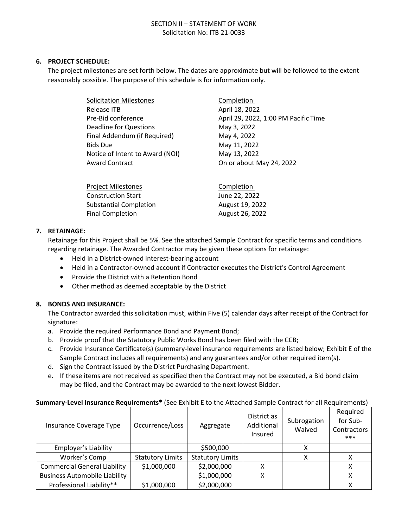#### **6. PROJECT SCHEDULE:**

The project milestones are set forth below. The dates are approximate but will be followed to the extent reasonably possible. The purpose of this schedule is for information only.

| <b>Solicitation Milestones</b>  | Completion                           |
|---------------------------------|--------------------------------------|
| Release ITB                     | April 18, 2022                       |
| Pre-Bid conference              | April 29, 2022, 1:00 PM Pacific Time |
| <b>Deadline for Questions</b>   | May 3, 2022                          |
| Final Addendum (if Required)    | May 4, 2022                          |
| <b>Bids Due</b>                 | May 11, 2022                         |
| Notice of Intent to Award (NOI) | May 13, 2022                         |
| <b>Award Contract</b>           | On or about May 24, 2022             |
|                                 |                                      |
| <b>Project Milestones</b>       | Completion                           |
| <b>Construction Start</b>       | June 22, 2022                        |

| 7. | <b>RETAINAGE:</b> |
|----|-------------------|
|    |                   |

Retainage for this Project shall be 5%. See the attached Sample Contract for specific terms and conditions regarding retainage. The Awarded Contractor may be given these options for retainage:

- Held in a District-owned interest-bearing account
- Held in a Contractor-owned account if Contractor executes the District's Control Agreement
- Provide the District with a Retention Bond
- Other method as deemed acceptable by the District

#### **8. BONDS AND INSURANCE:**

The Contractor awarded this solicitation must, within Five (5) calendar days after receipt of the Contract for signature:

- a. Provide the required Performance Bond and Payment Bond;
- b. Provide proof that the Statutory Public Works Bond has been filed with the CCB;

Substantial Completion August 19, 2022 Final Completion **August 26, 2022** 

- c. Provide Insurance Certificate(s) (summary-level insurance requirements are listed below; Exhibit E of the Sample Contract includes all requirements) and any guarantees and/or other required item(s).
- d. Sign the Contract issued by the District Purchasing Department.
- e. If these items are not received as specified then the Contract may not be executed, a Bid bond claim may be filed, and the Contract may be awarded to the next lowest Bidder.

#### **Summary-Level Insurance Requirements\*** (See Exhibit E to the Attached Sample Contract for all Requirements)

| Insurance Coverage Type              | Occurrence/Loss         | Aggregate               | District as<br>Additional<br>Insured | Subrogation<br>Waived | Required<br>for Sub-<br>Contractors<br>*** |
|--------------------------------------|-------------------------|-------------------------|--------------------------------------|-----------------------|--------------------------------------------|
| Employer's Liability                 |                         | \$500,000               |                                      | х                     |                                            |
| Worker's Comp                        | <b>Statutory Limits</b> | <b>Statutory Limits</b> |                                      | x                     | χ                                          |
| <b>Commercial General Liability</b>  | \$1,000,000             | \$2,000,000             | Χ                                    |                       | x                                          |
| <b>Business Automobile Liability</b> |                         | \$1,000,000             | Χ                                    |                       | χ                                          |
| Professional Liability**             | \$1,000,000             | \$2,000,000             |                                      |                       | χ                                          |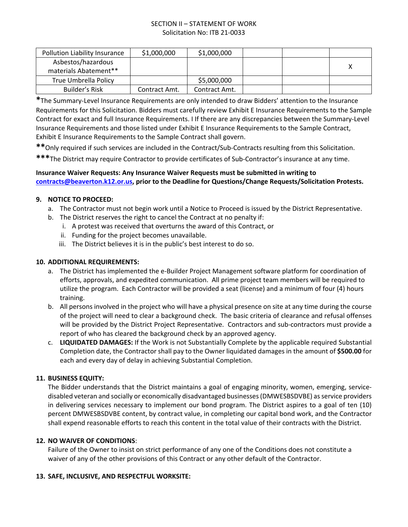| Pollution Liability Insurance | \$1,000,000   | \$1,000,000   |  |   |
|-------------------------------|---------------|---------------|--|---|
| Asbestos/hazardous            |               |               |  | х |
| materials Abatement**         |               |               |  |   |
| True Umbrella Policy          |               | \$5,000,000   |  |   |
| Builder's Risk                | Contract Amt. | Contract Amt. |  |   |

**\***The Summary-Level Insurance Requirements are only intended to draw Bidders' attention to the Insurance Requirements for this Solicitation. Bidders must carefully review Exhibit E Insurance Requirements to the Sample Contract for exact and full Insurance Requirements. I If there are any discrepancies between the Summary-Level Insurance Requirements and those listed under Exhibit E Insurance Requirements to the Sample Contract, Exhibit E Insurance Requirements to the Sample Contract shall govern.

**\*\***Only required if such services are included in the Contract/Sub-Contracts resulting from this Solicitation.

**\*\*\***The District may require Contractor to provide certificates of Sub-Contractor's insurance at any time.

## **Insurance Waiver Requests: Any Insurance Waiver Requests must be submitted in writing to [contracts@beaverton.k12.or.us,](mailto:contracts@beaverton.k12.or.us) prior to the Deadline for Questions/Change Requests/Solicitation Protests.**

## **9. NOTICE TO PROCEED:**

- a. The Contractor must not begin work until a Notice to Proceed is issued by the District Representative.
- b. The District reserves the right to cancel the Contract at no penalty if:
	- i. A protest was received that overturns the award of this Contract, or
	- ii. Funding for the project becomes unavailable.
	- iii. The District believes it is in the public's best interest to do so.

#### **10. ADDITIONAL REQUIREMENTS:**

- a. The District has implemented the e-Builder Project Management software platform for coordination of efforts, approvals, and expedited communication. All prime project team members will be required to utilize the program. Each Contractor will be provided a seat (license) and a minimum of four (4) hours training.
- b. All persons involved in the project who will have a physical presence on site at any time during the course of the project will need to clear a background check. The basic criteria of clearance and refusal offenses will be provided by the District Project Representative. Contractors and sub-contractors must provide a report of who has cleared the background check by an approved agency.
- c. **LIQUIDATED DAMAGES:** If the Work is not Substantially Complete by the applicable required Substantial Completion date, the Contractor shall pay to the Owner liquidated damages in the amount of **\$500.00** for each and every day of delay in achieving Substantial Completion.

#### **11. BUSINESS EQUITY:**

The Bidder understands that the District maintains a goal of engaging minority, women, emerging, servicedisabled veteran and socially or economically disadvantaged businesses (DMWESBSDVBE) as service providers in delivering services necessary to implement our bond program. The District aspires to a goal of ten (10) percent DMWESBSDVBE content, by contract value, in completing our capital bond work, and the Contractor shall expend reasonable efforts to reach this content in the total value of their contracts with the District.

#### **12. NO WAIVER OF CONDITIONS**:

Failure of the Owner to insist on strict performance of any one of the Conditions does not constitute a waiver of any of the other provisions of this Contract or any other default of the Contractor.

#### **13. SAFE, INCLUSIVE, AND RESPECTFUL WORKSITE:**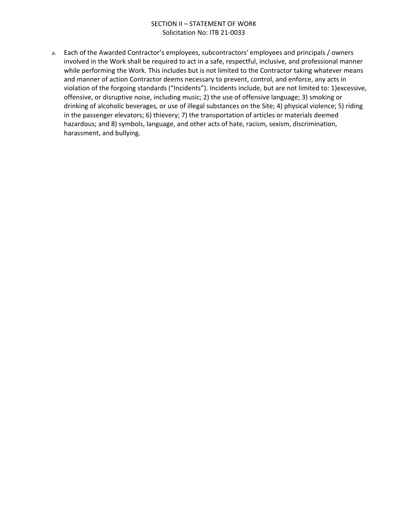a. Each of the Awarded Contractor's employees, subcontractors' employees and principals / owners involved in the Work shall be required to act in a safe, respectful, inclusive, and professional manner while performing the Work. This includes but is not limited to the Contractor taking whatever means and manner of action Contractor deems necessary to prevent, control, and enforce, any acts in violation of the forgoing standards ("Incidents"). Incidents include, but are not limited to: 1)excessive, offensive, or disruptive noise, including music; 2) the use of offensive language; 3) smoking or drinking of alcoholic beverages, or use of illegal substances on the Site; 4) physical violence; 5) riding in the passenger elevators; 6) thievery; 7) the transportation of articles or materials deemed hazardous; and 8) symbols, language, and other acts of hate, racism, sexism, discrimination, harassment, and bullying.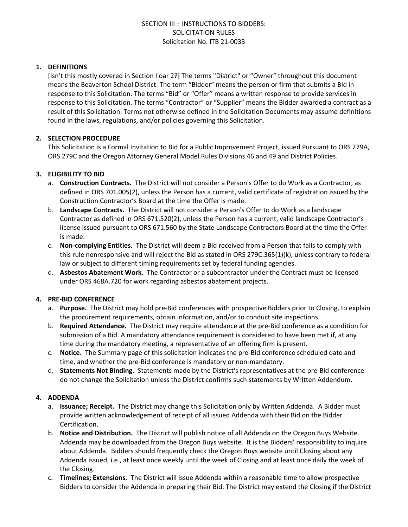## **1. DEFINITIONS**

[Isn't this mostly covered in Section I oar 2?] The terms "District" or "Owner" throughout this document means the Beaverton School District. The term "Bidder" means the person or firm that submits a Bid in response to this Solicitation. The terms "Bid" or "Offer" means a written response to provide services in response to this Solicitation. The terms "Contractor" or "Supplier" means the Bidder awarded a contract as a result of this Solicitation. Terms not otherwise defined in the Solicitation Documents may assume definitions found in the laws, regulations, and/or policies governing this Solicitation.

## **2. SELECTION PROCEDURE**

This Solicitation is a Formal Invitation to Bid for a Public Improvement Project, issued Pursuant to ORS 279A, ORS 279C and the Oregon Attorney General Model Rules Divisions 46 and 49 and District Policies.

## **3. ELIGIBILITY TO BID**

- a. **Construction Contracts.** The District will not consider a Person's Offer to do Work as a Contractor, as defined in ORS 701.005(2), unless the Person has a current, valid certificate of registration issued by the Construction Contractor's Board at the time the Offer is made.
- b. **Landscape Contracts.** The District will not consider a Person's Offer to do Work as a landscape Contractor as defined in ORS 671.520(2), unless the Person has a current, valid landscape Contractor's license issued pursuant to ORS 671.560 by the State Landscape Contractors Board at the time the Offer is made.
- c. **Non-complying Entities.** The District will deem a Bid received from a Person that fails to comply with this rule nonresponsive and will reject the Bid as stated in ORS 279C.365(1)(k), unless contrary to federal law or subject to different timing requirements set by federal funding agencies.
- d. **Asbestos Abatement Work.** The Contractor or a subcontractor under the Contract must be licensed under ORS 468A.720 for work regarding asbestos abatement projects.

#### **4. PRE-BID CONFERENCE**

- a. **Purpose.** The District may hold pre-Bid conferences with prospective Bidders prior to Closing, to explain the procurement requirements, obtain information, and/or to conduct site inspections.
- b. **Required Attendance.** The District may require attendance at the pre-Bid conference as a condition for submission of a Bid. A mandatory attendance requirement is considered to have been met if, at any time during the mandatory meeting, a representative of an offering firm is present.
- c. **Notice.** The Summary page of this solicitation indicates the pre-Bid conference scheduled date and time, and whether the pre-Bid conference is mandatory or non-mandatory.
- d. **Statements Not Binding.** Statements made by the District's representatives at the pre-Bid conference do not change the Solicitation unless the District confirms such statements by Written Addendum.

#### **4. ADDENDA**

- a. **Issuance; Receipt.** The District may change this Solicitation only by Written Addenda. A Bidder must provide written acknowledgement of receipt of all issued Addenda with their Bid on the Bidder Certification.
- b. **Notice and Distribution.** The District will publish notice of all Addenda on the Oregon Buys Website. Addenda may be downloaded from the Oregon Buys website. It is the Bidders' responsibility to inquire about Addenda. Bidders should frequently check the Oregon Buys website until Closing about any Addenda issued, i.e., at least once weekly until the week of Closing and at least once daily the week of the Closing.
- c. **Timelines; Extensions.** The District will issue Addenda within a reasonable time to allow prospective Bidders to consider the Addenda in preparing their Bid. The District may extend the Closing if the District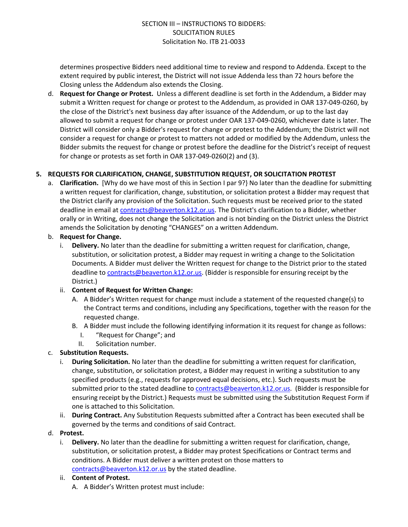determines prospective Bidders need additional time to review and respond to Addenda. Except to the extent required by public interest, the District will not issue Addenda less than 72 hours before the Closing unless the Addendum also extends the Closing.

d. **Request for Change or Protest.** Unless a different deadline is set forth in the Addendum, a Bidder may submit a Written request for change or protest to the Addendum, as provided in OAR 137-049-0260, by the close of the District's next business day after issuance of the Addendum, or up to the last day allowed to submit a request for change or protest under OAR 137-049-0260, whichever date is later. The District will consider only a Bidder's request for change or protest to the Addendum; the District will not consider a request for change or protest to matters not added or modified by the Addendum, unless the Bidder submits the request for change or protest before the deadline for the District's receipt of request for change or protests as set forth in OAR 137-049-0260(2) and (3).

#### **5. REQUESTS FOR CLARIFICATION, CHANGE, SUBSTITUTION REQUEST, OR SOLICITATION PROTEST**

a. **Clarification.** [Why do we have most of this in Section I par 9?} No later than the deadline for submitting a written request for clarification, change, substitution, or solicitation protest a Bidder may request that the District clarify any provision of the Solicitation. Such requests must be received prior to the stated deadline in email at [contracts@beaverton.k12.or.us](mailto:contracts@beaverton.k12.or.us). The District's clarification to a Bidder, whether orally or in Writing, does not change the Solicitation and is not binding on the District unless the District amends the Solicitation by denoting "CHANGES" on a written Addendum.

#### b. **Request for Change.**

i. **Delivery.** No later than the deadline for submitting a written request for clarification, change, substitution, or solicitation protest, a Bidder may request in writing a change to the Solicitation Documents. A Bidder must deliver the Written request for change to the District prior to the stated deadline to [contracts@beaverton.k12.or.us.](mailto:contracts@beaverton.k12.or.us) (Bidder is responsible for ensuring receipt by the District.)

## ii. **Content of Request for Written Change:**

- A. A Bidder's Written request for change must include a statement of the requested change(s) to the Contract terms and conditions, including any Specifications, together with the reason for the requested change.
- B. A Bidder must include the following identifying information it its request for change as follows:
	- I. "Request for Change"; and
	- II. Solicitation number.

## c. **Substitution Requests.**

- i. **During Solicitation.** No later than the deadline for submitting a written request for clarification, change, substitution, or solicitation protest, a Bidder may request in writing a substitution to any specified products (e.g., requests for approved equal decisions, etc.). Such requests must be submitted prior to the stated deadline to [contracts@beaverton.k12.or.us](mailto:contracts@beaverton.k12.or.us). (Bidder is responsible for ensuring receipt by the District.) Requests must be submitted using the Substitution Request Form if one is attached to this Solicitation.
- ii. **During Contract.** Any Substitution Requests submitted after a Contract has been executed shall be governed by the terms and conditions of said Contract.

#### d. **Protest.**

i. **Delivery.** No later than the deadline for submitting a written request for clarification, change, substitution, or solicitation protest, a Bidder may protest Specifications or Contract terms and conditions. A Bidder must deliver a written protest on those matters to [contracts@beaverton.k12.or.us](mailto:contracts@beaverton.k12.or.us) by the stated deadline.

#### ii. **Content of Protest.**

A. A Bidder's Written protest must include: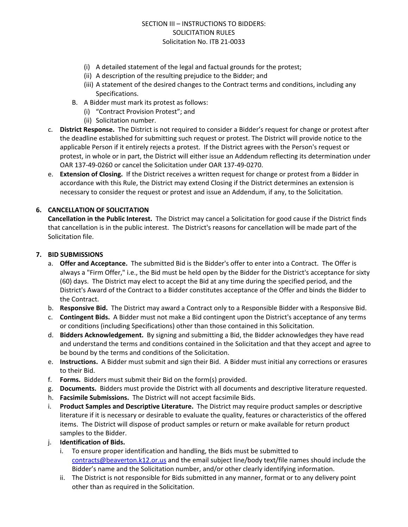- (i) A detailed statement of the legal and factual grounds for the protest;
- (ii) A description of the resulting prejudice to the Bidder; and
- (iii) A statement of the desired changes to the Contract terms and conditions, including any Specifications.
- B. A Bidder must mark its protest as follows:
	- (i) "Contract Provision Protest"; and
	- (ii) Solicitation number.
- c. **District Response.** The District is not required to consider a Bidder's request for change or protest after the deadline established for submitting such request or protest. The District will provide notice to the applicable Person if it entirely rejects a protest. If the District agrees with the Person's request or protest, in whole or in part, the District will either issue an Addendum reflecting its determination under OAR 137-49-0260 or cancel the Solicitation under OAR 137-49-0270.
- e. **Extension of Closing.** If the District receives a written request for change or protest from a Bidder in accordance with this Rule, the District may extend Closing if the District determines an extension is necessary to consider the request or protest and issue an Addendum, if any, to the Solicitation.

## **6. CANCELLATION OF SOLICITATION**

**Cancellation in the Public Interest.** The District may cancel a Solicitation for good cause if the District finds that cancellation is in the public interest. The District's reasons for cancellation will be made part of the Solicitation file.

#### **7. BID SUBMISSIONS**

- a. **Offer and Acceptance.** The submitted Bid is the Bidder's offer to enter into a Contract. The Offer is always a "Firm Offer," i.e., the Bid must be held open by the Bidder for the District's acceptance for sixty (60) days. The District may elect to accept the Bid at any time during the specified period, and the District's Award of the Contract to a Bidder constitutes acceptance of the Offer and binds the Bidder to the Contract.
- b. **Responsive Bid.** The District may award a Contract only to a Responsible Bidder with a Responsive Bid.
- c. **Contingent Bids.** A Bidder must not make a Bid contingent upon the District's acceptance of any terms or conditions (including Specifications) other than those contained in this Solicitation.
- d. **Bidders Acknowledgement.** By signing and submitting a Bid, the Bidder acknowledges they have read and understand the terms and conditions contained in the Solicitation and that they accept and agree to be bound by the terms and conditions of the Solicitation.
- e. **Instructions.** A Bidder must submit and sign their Bid. A Bidder must initial any corrections or erasures to their Bid.
- f. **Forms.** Bidders must submit their Bid on the form(s) provided.
- g. **Documents.** Bidders must provide the District with all documents and descriptive literature requested.
- h. **Facsimile Submissions.** The District will not accept facsimile Bids.
- i. **Product Samples and Descriptive Literature.** The District may require product samples or descriptive literature if it is necessary or desirable to evaluate the quality, features or characteristics of the offered items. The District will dispose of product samples or return or make available for return product samples to the Bidder.
- j. **Identification of Bids.**
	- i. To ensure proper identification and handling, the Bids must be submitted to [contracts@beaverton.k12.or.us](mailto:contracts@beaverton.k12.or.us) and the email subject line/body text/file names should include the Bidder's name and the Solicitation number, and/or other clearly identifying information.
	- ii. The District is not responsible for Bids submitted in any manner, format or to any delivery point other than as required in the Solicitation.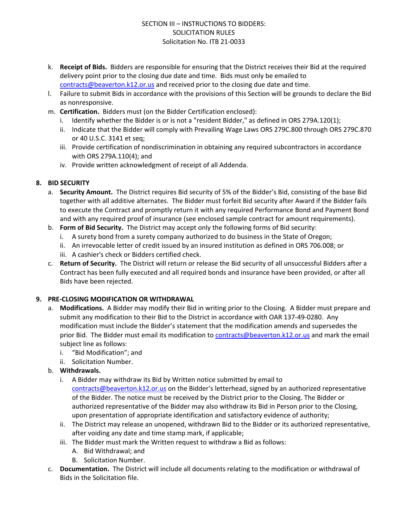- k. **Receipt of Bids.** Bidders are responsible for ensuring that the District receives their Bid at the required delivery point prior to the closing due date and time. Bids must only be emailed to [contracts@beaverton.k12.or.us](mailto:contracts@beaverton.k12.or.us) and received prior to the closing due date and time.
- l. Failure to submit Bids in accordance with the provisions of this Section will be grounds to declare the Bid as nonresponsive.
- m. **Certification.** Bidders must (on the Bidder Certification enclosed):
	- i. Identify whether the Bidder is or is not a "resident Bidder," as defined in ORS 279A.120(1);
	- ii. Indicate that the Bidder will comply with Prevailing Wage Laws ORS 279C.800 through ORS 279C.870 or 40 U.S.C. 3141 et seq;
	- iii. Provide certification of nondiscrimination in obtaining any required subcontractors in accordance with ORS 279A.110(4); and
	- iv. Provide written acknowledgment of receipt of all Addenda.

## **8. BID SECURITY**

- a. **Security Amount.** The District requires Bid security of 5% of the Bidder's Bid, consisting of the base Bid together with all additive alternates. The Bidder must forfeit Bid security after Award if the Bidder fails to execute the Contract and promptly return it with any required Performance Bond and Payment Bond and with any required proof of insurance (see enclosed sample contract for amount requirements).
- b. **Form of Bid Security.** The District may accept only the following forms of Bid security:
	- i. A surety bond from a surety company authorized to do business in the State of Oregon;
	- ii. An irrevocable letter of credit issued by an insured institution as defined in ORS 706.008; or
	- iii. A cashier's check or Bidders certified check.
- c. **Return of Security.** The District will return or release the Bid security of all unsuccessful Bidders after a Contract has been fully executed and all required bonds and insurance have been provided, or after all Bids have been rejected.

#### **9. PRE-CLOSING MODIFICATION OR WITHDRAWAL**

- a. **Modifications.** A Bidder may modify their Bid in writing prior to the Closing. A Bidder must prepare and submit any modification to their Bid to the District in accordance with OAR 137-49-0280. Any modification must include the Bidder's statement that the modification amends and supersedes the prior Bid. The Bidder must email its modification to [contracts@beaverton.k12.or.us](mailto:contracts@beaverton.k12.or.us) and mark the email subject line as follows:
	- i. "Bid Modification"; and
	- ii. Solicitation Number.
- b. **Withdrawals.**
	- i. A Bidder may withdraw its Bid by Written notice submitted by email to [contracts@beaverton.k12.or.us](mailto:contracts@beaverton.k12.or.us) on the Bidder's letterhead, signed by an authorized representative of the Bidder. The notice must be received by the District prior to the Closing. The Bidder or authorized representative of the Bidder may also withdraw its Bid in Person prior to the Closing, upon presentation of appropriate identification and satisfactory evidence of authority;
	- ii. The District may release an unopened, withdrawn Bid to the Bidder or its authorized representative, after voiding any date and time stamp mark, if applicable;
	- iii. The Bidder must mark the Written request to withdraw a Bid as follows:
		- A. Bid Withdrawal; and
		- B. Solicitation Number.
- c. **Documentation.** The District will include all documents relating to the modification or withdrawal of Bids in the Solicitation file.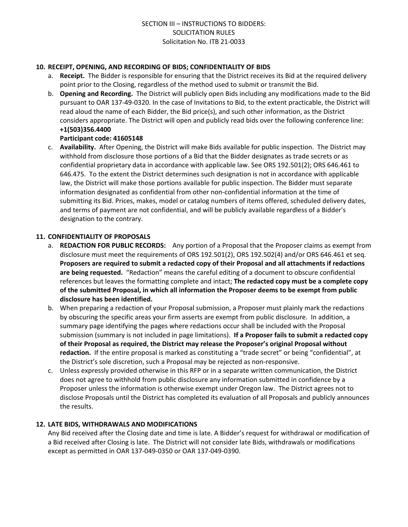#### **10. RECEIPT, OPENING, AND RECORDING OF BIDS; CONFIDENTIALITY OF BIDS**

- a. **Receipt.** The Bidder is responsible for ensuring that the District receives its Bid at the required delivery point prior to the Closing, regardless of the method used to submit or transmit the Bid.
- b. **Opening and Recording.** The District will publicly open Bids including any modifications made to the Bid pursuant to OAR 137-49-0320. In the case of Invitations to Bid, to the extent practicable, the District will read aloud the name of each Bidder, the Bid price(s), and such other information, as the District considers appropriate. The District will open and publicly read bids over the following conference line: **+1(503)356.4400**

## **Participant code: 41605148**

c. **Availability.** After Opening, the District will make Bids available for public inspection. The District may withhold from disclosure those portions of a Bid that the Bidder designates as trade secrets or as confidential proprietary data in accordance with applicable law. See ORS 192.501(2); ORS 646.461 to 646.475. To the extent the District determines such designation is not in accordance with applicable law, the District will make those portions available for public inspection. The Bidder must separate information designated as confidential from other non-confidential information at the time of submitting its Bid. Prices, makes, model or catalog numbers of items offered, scheduled delivery dates, and terms of payment are not confidential, and will be publicly available regardless of a Bidder's designation to the contrary.

## **11. CONFIDENTIALITY OF PROPOSALS**

- a. **REDACTION FOR PUBLIC RECORDS:** Any portion of a Proposal that the Proposer claims as exempt from disclosure must meet the requirements of ORS 192.501(2), ORS 192.502(4) and/or ORS 646.461 et seq. **Proposers are required to submit a redacted copy of their Proposal and all attachments if redactions are being requested.** "Redaction" means the careful editing of a document to obscure confidential references but leaves the formatting complete and intact; **The redacted copy must be a complete copy of the submitted Proposal, in which all information the Proposer deems to be exempt from public disclosure has been identified.**
- b. When preparing a redaction of your Proposal submission, a Proposer must plainly mark the redactions by obscuring the specific areas your firm asserts are exempt from public disclosure. In addition, a summary page identifying the pages where redactions occur shall be included with the Proposal submission (summary is not included in page limitations). **If a Proposer fails to submit a redacted copy of their Proposal as required, the District may release the Proposer's original Proposal without redaction.** If the entire proposal is marked as constituting a "trade secret" or being "confidential", at the District's sole discretion, such a Proposal may be rejected as non-responsive.
- c. Unless expressly provided otherwise in this RFP or in a separate written communication, the District does not agree to withhold from public disclosure any information submitted in confidence by a Proposer unless the information is otherwise exempt under Oregon law. The District agrees not to disclose Proposals until the District has completed its evaluation of all Proposals and publicly announces the results.

## **12. LATE BIDS, WITHDRAWALS AND MODIFICATIONS**

Any Bid received after the Closing date and time is late. A Bidder's request for withdrawal or modification of a Bid received after Closing is late. The District will not consider late Bids, withdrawals or modifications except as permitted in OAR 137-049-0350 or OAR 137-049-0390.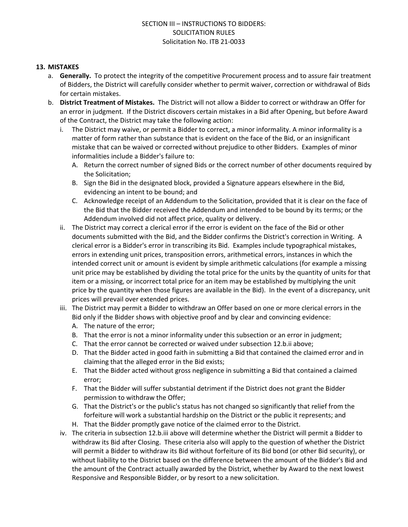## **13. MISTAKES**

- a. **Generally.** To protect the integrity of the competitive Procurement process and to assure fair treatment of Bidders, the District will carefully consider whether to permit waiver, correction or withdrawal of Bids for certain mistakes.
- b. **District Treatment of Mistakes.** The District will not allow a Bidder to correct or withdraw an Offer for an error in judgment. If the District discovers certain mistakes in a Bid after Opening, but before Award of the Contract, the District may take the following action:
	- i. The District may waive, or permit a Bidder to correct, a minor informality. A minor informality is a matter of form rather than substance that is evident on the face of the Bid, or an insignificant mistake that can be waived or corrected without prejudice to other Bidders. Examples of minor informalities include a Bidder's failure to:
		- A. Return the correct number of signed Bids or the correct number of other documents required by the Solicitation;
		- B. Sign the Bid in the designated block, provided a Signature appears elsewhere in the Bid, evidencing an intent to be bound; and
		- C. Acknowledge receipt of an Addendum to the Solicitation, provided that it is clear on the face of the Bid that the Bidder received the Addendum and intended to be bound by its terms; or the Addendum involved did not affect price, quality or delivery.
	- ii. The District may correct a clerical error if the error is evident on the face of the Bid or other documents submitted with the Bid, and the Bidder confirms the District's correction in Writing. A clerical error is a Bidder's error in transcribing its Bid. Examples include typographical mistakes, errors in extending unit prices, transposition errors, arithmetical errors, instances in which the intended correct unit or amount is evident by simple arithmetic calculations (for example a missing unit price may be established by dividing the total price for the units by the quantity of units for that item or a missing, or incorrect total price for an item may be established by multiplying the unit price by the quantity when those figures are available in the Bid). In the event of a discrepancy, unit prices will prevail over extended prices.
	- iii. The District may permit a Bidder to withdraw an Offer based on one or more clerical errors in the Bid only if the Bidder shows with objective proof and by clear and convincing evidence:
		- A. The nature of the error;
		- B. That the error is not a minor informality under this subsection or an error in judgment;
		- C. That the error cannot be corrected or waived under subsection 12.b.ii above;
		- D. That the Bidder acted in good faith in submitting a Bid that contained the claimed error and in claiming that the alleged error in the Bid exists;
		- E. That the Bidder acted without gross negligence in submitting a Bid that contained a claimed error;
		- F. That the Bidder will suffer substantial detriment if the District does not grant the Bidder permission to withdraw the Offer;
		- G. That the District's or the public's status has not changed so significantly that relief from the forfeiture will work a substantial hardship on the District or the public it represents; and
		- H. That the Bidder promptly gave notice of the claimed error to the District.
	- iv. The criteria in subsection 12.b.iii above will determine whether the District will permit a Bidder to withdraw its Bid after Closing. These criteria also will apply to the question of whether the District will permit a Bidder to withdraw its Bid without forfeiture of its Bid bond (or other Bid security), or without liability to the District based on the difference between the amount of the Bidder's Bid and the amount of the Contract actually awarded by the District, whether by Award to the next lowest Responsive and Responsible Bidder, or by resort to a new solicitation.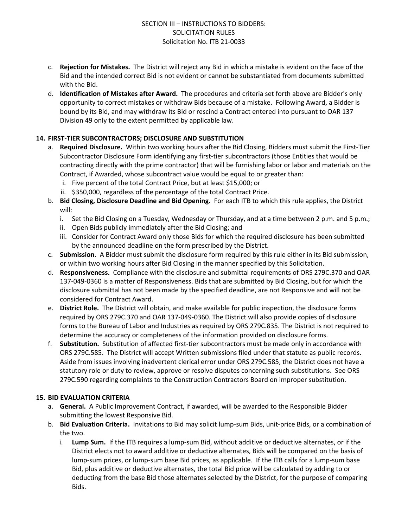- c. **Rejection for Mistakes.** The District will reject any Bid in which a mistake is evident on the face of the Bid and the intended correct Bid is not evident or cannot be substantiated from documents submitted with the Bid.
- d. **Identification of Mistakes after Award.** The procedures and criteria set forth above are Bidder's only opportunity to correct mistakes or withdraw Bids because of a mistake. Following Award, a Bidder is bound by its Bid, and may withdraw its Bid or rescind a Contract entered into pursuant to OAR 137 Division 49 only to the extent permitted by applicable law.

## **14. FIRST-TIER SUBCONTRACTORS; DISCLOSURE AND SUBSTITUTION**

- a. **Required Disclosure.** Within two working hours after the Bid Closing, Bidders must submit the First-Tier Subcontractor Disclosure Form identifying any first-tier subcontractors (those Entities that would be contracting directly with the prime contractor) that will be furnishing labor or labor and materials on the Contract, if Awarded, whose subcontract value would be equal to or greater than:
	- i. Five percent of the total Contract Price, but at least \$15,000; or
	- ii. \$350,000, regardless of the percentage of the total Contract Price.
- b. **Bid Closing, Disclosure Deadline and Bid Opening.** For each ITB to which this rule applies, the District will:
	- i. Set the Bid Closing on a Tuesday, Wednesday or Thursday, and at a time between 2 p.m. and 5 p.m.;
	- ii. Open Bids publicly immediately after the Bid Closing; and
	- iii. Consider for Contract Award only those Bids for which the required disclosure has been submitted by the announced deadline on the form prescribed by the District.
- c. **Submission.** A Bidder must submit the disclosure form required by this rule either in its Bid submission, or within two working hours after Bid Closing in the manner specified by this Solicitation.
- d. **Responsiveness.** Compliance with the disclosure and submittal requirements of ORS 279C.370 and OAR 137-049-0360 is a matter of Responsiveness. Bids that are submitted by Bid Closing, but for which the disclosure submittal has not been made by the specified deadline, are not Responsive and will not be considered for Contract Award.
- e. **District Role.** The District will obtain, and make available for public inspection, the disclosure forms required by ORS 279C.370 and OAR 137-049-0360. The District will also provide copies of disclosure forms to the Bureau of Labor and Industries as required by ORS 279C.835. The District is not required to determine the accuracy or completeness of the information provided on disclosure forms.
- f. **Substitution.** Substitution of affected first-tier subcontractors must be made only in accordance with ORS 279C.585. The District will accept Written submissions filed under that statute as public records. Aside from issues involving inadvertent clerical error under ORS 279C.585, the District does not have a statutory role or duty to review, approve or resolve disputes concerning such substitutions. See ORS 279C.590 regarding complaints to the Construction Contractors Board on improper substitution.

#### **15. BID EVALUATION CRITERIA**

- a. **General.** A Public Improvement Contract, if awarded, will be awarded to the Responsible Bidder submitting the lowest Responsive Bid.
- b. **Bid Evaluation Criteria.** Invitations to Bid may solicit lump-sum Bids, unit-price Bids, or a combination of the two.
	- i. **Lump Sum.** If the ITB requires a lump-sum Bid, without additive or deductive alternates, or if the District elects not to award additive or deductive alternates, Bids will be compared on the basis of lump-sum prices, or lump-sum base Bid prices, as applicable. If the ITB calls for a lump-sum base Bid, plus additive or deductive alternates, the total Bid price will be calculated by adding to or deducting from the base Bid those alternates selected by the District, for the purpose of comparing Bids.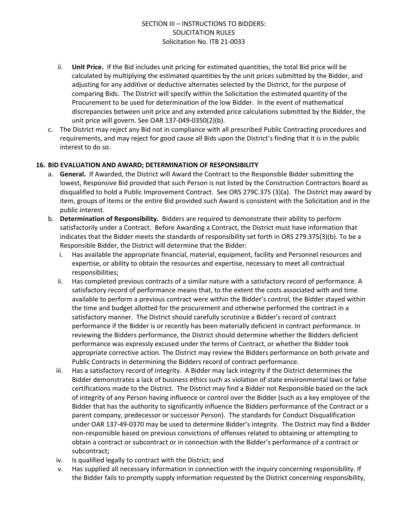- ii. **Unit Price.** If the Bid includes unit pricing for estimated quantities, the total Bid price will be calculated by multiplying the estimated quantities by the unit prices submitted by the Bidder, and adjusting for any additive or deductive alternates selected by the District, for the purpose of comparing Bids. The District will specify within the Solicitation the estimated quantity of the Procurement to be used for determination of the low Bidder. In the event of mathematical discrepancies between unit price and any extended price calculations submitted by the Bidder, the unit price will govern. See OAR 137-049-0350(2)(b).
- c. The District may reject any Bid not in compliance with all prescribed Public Contracting procedures and requirements, and may reject for good cause all Bids upon the District's finding that it is in the public interest to do so.

#### **16. BID EVALUATION AND AWARD; DETERMINATION OF RESPONSIBILITY**

- a. **General.** If Awarded, the District will Award the Contract to the Responsible Bidder submitting the lowest, Responsive Bid provided that such Person is not listed by the Construction Contractors Board as disqualified to hold a Public Improvement Contract. See ORS 279C.375 (3)(a). The District may award by item, groups of items or the entire Bid provided such Award is consistent with the Solicitation and in the public interest.
- b. **Determination of Responsibility.** Bidders are required to demonstrate their ability to perform satisfactorily under a Contract. Before Awarding a Contract, the District must have information that indicates that the Bidder meets the standards of responsibility set forth in ORS 279.375(3)(b). To be a Responsible Bidder, the District will determine that the Bidder:
	- i. Has available the appropriate financial, material, equipment, facility and Personnel resources and expertise, or ability to obtain the resources and expertise, necessary to meet all contractual responsibilities;
	- ii. Has completed previous contracts of a similar nature with a satisfactory record of performance. A satisfactory record of performance means that, to the extent the costs associated with and time available to perform a previous contract were within the Bidder's control, the Bidder stayed within the time and budget allotted for the procurement and otherwise performed the contract in a satisfactory manner. The District should carefully scrutinize a Bidder's record of contract performance if the Bidder is or recently has been materially deficient in contract performance. In reviewing the Bidders performance, the District should determine whether the Bidders deficient performance was expressly excused under the terms of Contract, or whether the Bidder took appropriate corrective action. The District may review the Bidders performance on both private and Public Contracts in determining the Bidders record of contract performance.
	- iii. Has a satisfactory record of integrity. A Bidder may lack integrity if the District determines the Bidder demonstrates a lack of business ethics such as violation of state environmental laws or false certifications made to the District. The District may find a Bidder not Responsible based on the lack of integrity of any Person having influence or control over the Bidder (such as a key employee of the Bidder that has the authority to significantly influence the Bidders performance of the Contract or a parent company, predecessor or successor Person). The standards for Conduct Disqualification under OAR 137-49-0370 may be used to determine Bidder's integrity. The District may find a Bidder non-responsible based on previous convictions of offenses related to obtaining or attempting to obtain a contract or subcontract or in connection with the Bidder's performance of a contract or subcontract;
	- iv. Is qualified legally to contract with the District; and
	- v. Has supplied all necessary information in connection with the inquiry concerning responsibility. If the Bidder fails to promptly supply information requested by the District concerning responsibility,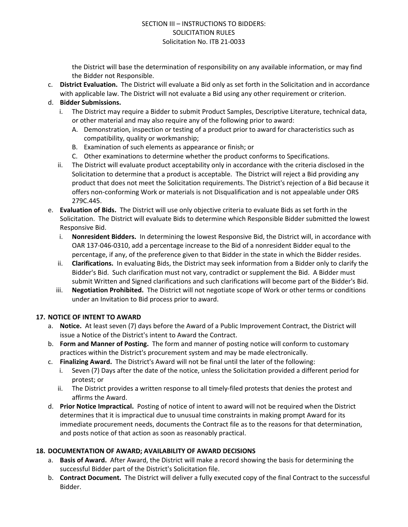the District will base the determination of responsibility on any available information, or may find the Bidder not Responsible.

c. **District Evaluation.** The District will evaluate a Bid only as set forth in the Solicitation and in accordance with applicable law. The District will not evaluate a Bid using any other requirement or criterion.

## d. **Bidder Submissions.**

- i. The District may require a Bidder to submit Product Samples, Descriptive Literature, technical data, or other material and may also require any of the following prior to award:
	- A. Demonstration, inspection or testing of a product prior to award for characteristics such as compatibility, quality or workmanship;
	- B. Examination of such elements as appearance or finish; or
	- C. Other examinations to determine whether the product conforms to Specifications.
- ii. The District will evaluate product acceptability only in accordance with the criteria disclosed in the Solicitation to determine that a product is acceptable. The District will reject a Bid providing any product that does not meet the Solicitation requirements. The District's rejection of a Bid because it offers non-conforming Work or materials is not Disqualification and is not appealable under ORS 279C.445.
- e. **Evaluation of Bids.** The District will use only objective criteria to evaluate Bids as set forth in the Solicitation. The District will evaluate Bids to determine which Responsible Bidder submitted the lowest Responsive Bid.
	- i. **Nonresident Bidders.** In determining the lowest Responsive Bid, the District will, in accordance with OAR 137-046-0310, add a percentage increase to the Bid of a nonresident Bidder equal to the percentage, if any, of the preference given to that Bidder in the state in which the Bidder resides.
	- ii. **Clarifications.** In evaluating Bids, the District may seek information from a Bidder only to clarify the Bidder's Bid. Such clarification must not vary, contradict or supplement the Bid. A Bidder must submit Written and Signed clarifications and such clarifications will become part of the Bidder's Bid.
	- iii. **Negotiation Prohibited.** The District will not negotiate scope of Work or other terms or conditions under an Invitation to Bid process prior to award.

#### **17. NOTICE OF INTENT TO AWARD**

- a. **Notice.** At least seven (7) days before the Award of a Public Improvement Contract, the District will issue a Notice of the District's intent to Award the Contract.
- b. **Form and Manner of Posting.** The form and manner of posting notice will conform to customary practices within the District's procurement system and may be made electronically.
- c. **Finalizing Award.** The District's Award will not be final until the later of the following:
	- i. Seven (7) Days after the date of the notice, unless the Solicitation provided a different period for protest; or
	- ii. The District provides a written response to all timely-filed protests that denies the protest and affirms the Award.
- d. **Prior Notice Impractical.** Posting of notice of intent to award will not be required when the District determines that it is impractical due to unusual time constraints in making prompt Award for its immediate procurement needs, documents the Contract file as to the reasons for that determination, and posts notice of that action as soon as reasonably practical.

#### **18. DOCUMENTATION OF AWARD; AVAILABILITY OF AWARD DECISIONS**

- a. **Basis of Award.** After Award, the District will make a record showing the basis for determining the successful Bidder part of the District's Solicitation file.
- b. **Contract Document.** The District will deliver a fully executed copy of the final Contract to the successful Bidder.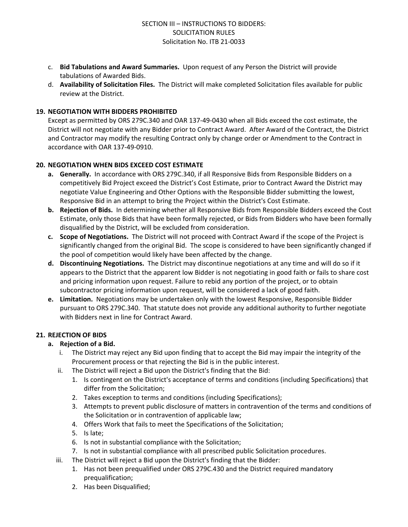- c. **Bid Tabulations and Award Summaries.** Upon request of any Person the District will provide tabulations of Awarded Bids.
- d. **Availability of Solicitation Files.** The District will make completed Solicitation files available for public review at the District.

## **19. NEGOTIATION WITH BIDDERS PROHIBITED**

Except as permitted by ORS 279C.340 and OAR 137-49-0430 when all Bids exceed the cost estimate, the District will not negotiate with any Bidder prior to Contract Award. After Award of the Contract, the District and Contractor may modify the resulting Contract only by change order or Amendment to the Contract in accordance with OAR 137-49-0910.

## **20. NEGOTIATION WHEN BIDS EXCEED COST ESTIMATE**

- **a. Generally.** In accordance with ORS 279C.340, if all Responsive Bids from Responsible Bidders on a competitively Bid Project exceed the District's Cost Estimate, prior to Contract Award the District may negotiate Value Engineering and Other Options with the Responsible Bidder submitting the lowest, Responsive Bid in an attempt to bring the Project within the District's Cost Estimate.
- **b. Rejection of Bids.** In determining whether all Responsive Bids from Responsible Bidders exceed the Cost Estimate, only those Bids that have been formally rejected, or Bids from Bidders who have been formally disqualified by the District, will be excluded from consideration.
- **c. Scope of Negotiations.** The District will not proceed with Contract Award if the scope of the Project is significantly changed from the original Bid. The scope is considered to have been significantly changed if the pool of competition would likely have been affected by the change.
- **d. Discontinuing Negotiations.** The District may discontinue negotiations at any time and will do so if it appears to the District that the apparent low Bidder is not negotiating in good faith or fails to share cost and pricing information upon request. Failure to rebid any portion of the project, or to obtain subcontractor pricing information upon request, will be considered a lack of good faith.
- **e. Limitation.** Negotiations may be undertaken only with the lowest Responsive, Responsible Bidder pursuant to ORS 279C.340. That statute does not provide any additional authority to further negotiate with Bidders next in line for Contract Award.

## **21. REJECTION OF BIDS**

## **a. Rejection of a Bid.**

- i. The District may reject any Bid upon finding that to accept the Bid may impair the integrity of the Procurement process or that rejecting the Bid is in the public interest.
- ii. The District will reject a Bid upon the District's finding that the Bid:
	- 1. Is contingent on the District's acceptance of terms and conditions (including Specifications) that differ from the Solicitation;
	- 2. Takes exception to terms and conditions (including Specifications);
	- 3. Attempts to prevent public disclosure of matters in contravention of the terms and conditions of the Solicitation or in contravention of applicable law;
	- 4. Offers Work that fails to meet the Specifications of the Solicitation;
	- 5. Is late;
	- 6. Is not in substantial compliance with the Solicitation;
	- 7. Is not in substantial compliance with all prescribed public Solicitation procedures.
- iii. The District will reject a Bid upon the District's finding that the Bidder:
	- 1. Has not been prequalified under ORS 279C.430 and the District required mandatory prequalification;
	- 2. Has been Disqualified;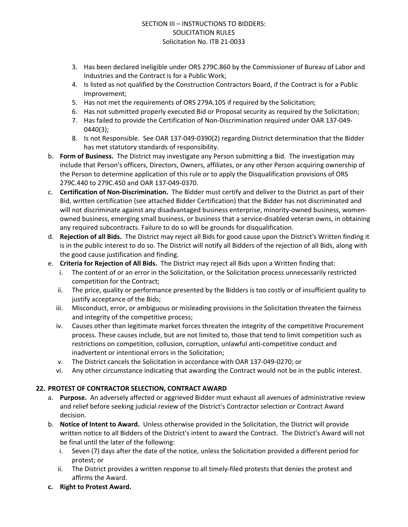- 3. Has been declared ineligible under ORS 279C.860 by the Commissioner of Bureau of Labor and Industries and the Contract is for a Public Work;
- 4. Is listed as not qualified by the Construction Contractors Board, if the Contract is for a Public Improvement;
- 5. Has not met the requirements of ORS 279A.105 if required by the Solicitation;
- 6. Has not submitted properly executed Bid or Proposal security as required by the Solicitation;
- 7. Has failed to provide the Certification of Non-Discrimination required under OAR 137-049- 0440(3);
- 8. Is not Responsible. See OAR 137-049-0390(2) regarding District determination that the Bidder has met statutory standards of responsibility.
- b. **Form of Business.** The District may investigate any Person submitting a Bid. The investigation may include that Person's officers, Directors, Owners, affiliates, or any other Person acquiring ownership of the Person to determine application of this rule or to apply the Disqualification provisions of ORS 279C.440 to 279C.450 and OAR 137-049-0370.
- c. **Certification of Non-Discrimination.** The Bidder must certify and deliver to the District as part of their Bid, written certification (see attached Bidder Certification) that the Bidder has not discriminated and will not discriminate against any disadvantaged business enterprise, minority-owned business, womenowned business, emerging small business, or business that a service-disabled veteran owns, in obtaining any required subcontracts. Failure to do so will be grounds for disqualification.
- d. **Rejection of all Bids.** The District may reject all Bids for good cause upon the District's Written finding it is in the public interest to do so. The District will notify all Bidders of the rejection of all Bids, along with the good cause justification and finding.
- e. **Criteria for Rejection of All Bids.** The District may reject all Bids upon a Written finding that:
	- i. The content of or an error in the Solicitation, or the Solicitation process unnecessarily restricted competition for the Contract;
	- ii. The price, quality or performance presented by the Bidders is too costly or of insufficient quality to justify acceptance of the Bids;
	- iii. Misconduct, error, or ambiguous or misleading provisions in the Solicitation threaten the fairness and integrity of the competitive process;
	- iv. Causes other than legitimate market forces threaten the integrity of the competitive Procurement process. These causes include, but are not limited to, those that tend to limit competition such as restrictions on competition, collusion, corruption, unlawful anti-competitive conduct and inadvertent or intentional errors in the Solicitation;
	- v. The District cancels the Solicitation in accordance with OAR 137-049-0270; or
	- vi. Any other circumstance indicating that awarding the Contract would not be in the public interest.

## **22. PROTEST OF CONTRACTOR SELECTION, CONTRACT AWARD**

- a. **Purpose.** An adversely affected or aggrieved Bidder must exhaust all avenues of administrative review and relief before seeking judicial review of the District's Contractor selection or Contract Award decision.
- b. **Notice of Intent to Award.** Unless otherwise provided in the Solicitation, the District will provide written notice to all Bidders of the District's intent to award the Contract. The District's Award will not be final until the later of the following:
	- i. Seven (7) days after the date of the notice, unless the Solicitation provided a different period for protest; or
	- ii. The District provides a written response to all timely-filed protests that denies the protest and affirms the Award.
- **c. Right to Protest Award.**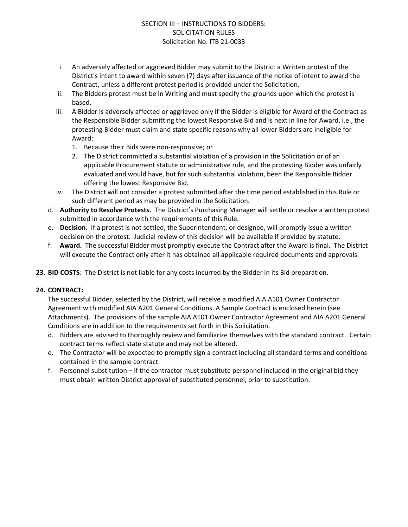- i. An adversely affected or aggrieved Bidder may submit to the District a Written protest of the District's intent to award within seven (7) days after issuance of the notice of intent to award the Contract, unless a different protest period is provided under the Solicitation.
- ii. The Bidders protest must be in Writing and must specify the grounds upon which the protest is based.
- iii. A Bidder is adversely affected or aggrieved only if the Bidder is eligible for Award of the Contract as the Responsible Bidder submitting the lowest Responsive Bid and is next in line for Award, i.e., the protesting Bidder must claim and state specific reasons why all lower Bidders are ineligible for Award:
	- 1. Because their Bids were non-responsive; or
	- 2. The District committed a substantial violation of a provision in the Solicitation or of an applicable Procurement statute or administrative rule, and the protesting Bidder was unfairly evaluated and would have, but for such substantial violation, been the Responsible Bidder offering the lowest Responsive Bid.
- iv. The District will not consider a protest submitted after the time period established in this Rule or such different period as may be provided in the Solicitation.
- d. **Authority to Resolve Protests.** The District's Purchasing Manager will settle or resolve a written protest submitted in accordance with the requirements of this Rule.
- e. **Decision.** If a protest is not settled, the Superintendent, or designee, will promptly issue a written decision on the protest. Judicial review of this decision will be available if provided by statute.
- f. **Award.** The successful Bidder must promptly execute the Contract after the Award is final. The District will execute the Contract only after it has obtained all applicable required documents and approvals.
- **23. BID COSTS**: The District is not liable for any costs incurred by the Bidder in its Bid preparation.

## **24. CONTRACT:**

The successful Bidder, selected by the District, will receive a modified AIA A101 Owner Contractor Agreement with modified AIA A201 General Conditions. A Sample Contract is enclosed herein (see Attachments). The provisions of the sample AIA A101 Owner Contractor Agreement and AIA A201 General Conditions are in addition to the requirements set forth in this Solicitation.

- d. Bidders are advised to thoroughly review and familiarize themselves with the standard contract. Certain contract terms reflect state statute and may not be altered.
- e. The Contractor will be expected to promptly sign a contract including all standard terms and conditions contained in the sample contract.
- f. Personnel substitution if the contractor must substitute personnel included in the original bid they must obtain written District approval of substituted personnel, prior to substitution.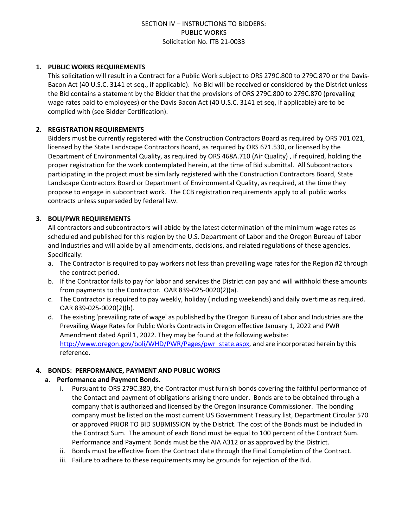#### **1. PUBLIC WORKS REQUIREMENTS**

This solicitation will result in a Contract for a Public Work subject to ORS 279C.800 to 279C.870 or the Davis-Bacon Act (40 U.S.C. 3141 et seq., if applicable). No Bid will be received or considered by the District unless the Bid contains a statement by the Bidder that the provisions of ORS 279C.800 to 279C.870 (prevailing wage rates paid to employees) or the Davis Bacon Act (40 U.S.C. 3141 et seq, if applicable) are to be complied with (see Bidder Certification).

## **2. REGISTRATION REQUIREMENTS**

Bidders must be currently registered with the Construction Contractors Board as required by ORS 701.021, licensed by the State Landscape Contractors Board, as required by ORS 671.530, or licensed by the Department of Environmental Quality, as required by ORS 468A.710 (Air Quality) , if required, holding the proper registration for the work contemplated herein, at the time of Bid submittal. All Subcontractors participating in the project must be similarly registered with the Construction Contractors Board, State Landscape Contractors Board or Department of Environmental Quality, as required, at the time they propose to engage in subcontract work. The CCB registration requirements apply to all public works contracts unless superseded by federal law.

## **3. BOLI/PWR REQUIREMENTS**

All contractors and subcontractors will abide by the latest determination of the minimum wage rates as scheduled and published for this region by the U.S. Department of Labor and the Oregon Bureau of Labor and Industries and will abide by all amendments, decisions, and related regulations of these agencies. Specifically:

- a. The Contractor is required to pay workers not less than prevailing wage rates for the Region #2 through the contract period.
- b. If the Contractor fails to pay for labor and services the District can pay and will withhold these amounts from payments to the Contractor. OAR 839-025-0020(2)(a).
- c. The Contractor is required to pay weekly, holiday (including weekends) and daily overtime as required. OAR 839-025-0020(2)(b).
- d. The existing 'prevailing rate of wage' as published by the Oregon Bureau of Labor and Industries are the Prevailing Wage Rates for Public Works Contracts in Oregon effective January 1, 2022 and PWR Amendment dated April 1, 2022. They may be found at the following website: [http://www.oregon.gov/boli/WHD/PWR/Pages/pwr\\_state.aspx](http://www.oregon.gov/boli/WHD/PWR/Pages/pwr_state.aspx), and are incorporated herein by this reference.

#### **4. BONDS: PERFORMANCE, PAYMENT AND PUBLIC WORKS**

#### **a. Performance and Payment Bonds.**

- i. Pursuant to ORS 279C.380, the Contractor must furnish bonds covering the faithful performance of the Contact and payment of obligations arising there under. Bonds are to be obtained through a company that is authorized and licensed by the Oregon Insurance Commissioner. The bonding company must be listed on the most current US Government Treasury list, Department Circular 570 or approved PRIOR TO BID SUBMISSION by the District. The cost of the Bonds must be included in the Contract Sum. The amount of each Bond must be equal to 100 percent of the Contract Sum. Performance and Payment Bonds must be the AIA A312 or as approved by the District.
- ii. Bonds must be effective from the Contract date through the Final Completion of the Contract.
- iii. Failure to adhere to these requirements may be grounds for rejection of the Bid.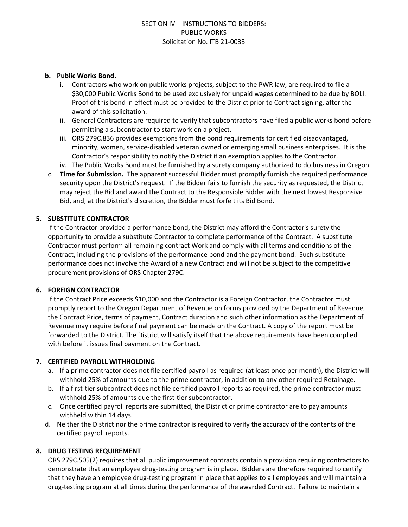#### **b. Public Works Bond.**

- i. Contractors who work on public works projects, subject to the PWR law, are required to file a \$30,000 Public Works Bond to be used exclusively for unpaid wages determined to be due by BOLI. Proof of this bond in effect must be provided to the District prior to Contract signing, after the award of this solicitation.
- ii. General Contractors are required to verify that subcontractors have filed a public works bond before permitting a subcontractor to start work on a project.
- iii. ORS 279C.836 provides exemptions from the bond requirements for certified disadvantaged, minority, women, service-disabled veteran owned or emerging small business enterprises. It is the Contractor's responsibility to notify the District if an exemption applies to the Contractor.
- iv. The Public Works Bond must be furnished by a surety company authorized to do business in Oregon
- c. **Time for Submission.** The apparent successful Bidder must promptly furnish the required performance security upon the District's request. If the Bidder fails to furnish the security as requested, the District may reject the Bid and award the Contract to the Responsible Bidder with the next lowest Responsive Bid, and, at the District's discretion, the Bidder must forfeit its Bid Bond.

#### **5. SUBSTITUTE CONTRACTOR**

If the Contractor provided a performance bond, the District may afford the Contractor's surety the opportunity to provide a substitute Contractor to complete performance of the Contract. A substitute Contractor must perform all remaining contract Work and comply with all terms and conditions of the Contract, including the provisions of the performance bond and the payment bond. Such substitute performance does not involve the Award of a new Contract and will not be subject to the competitive procurement provisions of ORS Chapter 279C.

#### **6. FOREIGN CONTRACTOR**

If the Contract Price exceeds \$10,000 and the Contractor is a Foreign Contractor, the Contractor must promptly report to the Oregon Department of Revenue on forms provided by the Department of Revenue, the Contract Price, terms of payment, Contract duration and such other information as the Department of Revenue may require before final payment can be made on the Contract. A copy of the report must be forwarded to the District. The District will satisfy itself that the above requirements have been complied with before it issues final payment on the Contract.

#### **7. CERTIFIED PAYROLL WITHHOLDING**

- a. If a prime contractor does not file certified payroll as required (at least once per month), the District will withhold 25% of amounts due to the prime contractor, in addition to any other required Retainage.
- b. If a first-tier subcontract does not file certified payroll reports as required, the prime contractor must withhold 25% of amounts due the first-tier subcontractor.
- c. Once certified payroll reports are submitted, the District or prime contractor are to pay amounts withheld within 14 days.
- d. Neither the District nor the prime contractor is required to verify the accuracy of the contents of the certified payroll reports.

#### **8. DRUG TESTING REQUIREMENT**

ORS 279C.505(2) requires that all public improvement contracts contain a provision requiring contractors to demonstrate that an employee drug-testing program is in place. Bidders are therefore required to certify that they have an employee drug-testing program in place that applies to all employees and will maintain a drug-testing program at all times during the performance of the awarded Contract. Failure to maintain a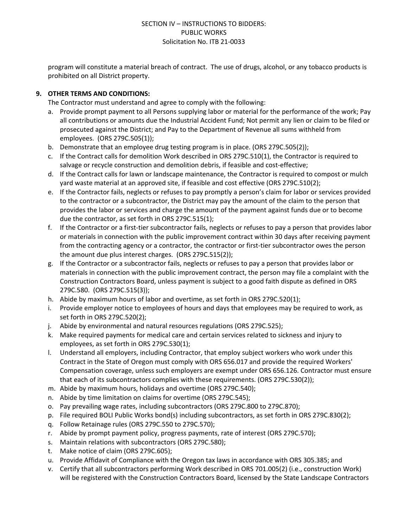program will constitute a material breach of contract. The use of drugs, alcohol, or any tobacco products is prohibited on all District property.

## **9. OTHER TERMS AND CONDITIONS:**

The Contractor must understand and agree to comply with the following:

- a. Provide prompt payment to all Persons supplying labor or material for the performance of the work; Pay all contributions or amounts due the Industrial Accident Fund; Not permit any lien or claim to be filed or prosecuted against the District; and Pay to the Department of Revenue all sums withheld from employees. (ORS 279C.505(1));
- b. Demonstrate that an employee drug testing program is in place. (ORS 279C.505(2));
- c. If the Contract calls for demolition Work described in ORS 279C.510(1), the Contractor is required to salvage or recycle construction and demolition debris, if feasible and cost-effective;
- d. If the Contract calls for lawn or landscape maintenance, the Contractor is required to compost or mulch yard waste material at an approved site, if feasible and cost effective (ORS 279C.510(2);
- e. If the Contractor fails, neglects or refuses to pay promptly a person's claim for labor or services provided to the contractor or a subcontractor, the District may pay the amount of the claim to the person that provides the labor or services and charge the amount of the payment against funds due or to become due the contractor, as set forth in ORS 279C.515(1);
- f. If the Contractor or a first-tier subcontractor fails, neglects or refuses to pay a person that provides labor or materials in connection with the public improvement contract within 30 days after receiving payment from the contracting agency or a contractor, the contractor or first-tier subcontractor owes the person the amount due plus interest charges. (ORS 279C.515(2));
- g. If the Contractor or a subcontractor fails, neglects or refuses to pay a person that provides labor or materials in connection with the public improvement contract, the person may file a complaint with the Construction Contractors Board, unless payment is subject to a good faith dispute as defined in ORS 279C.580. (ORS 279C.515(3));
- h. Abide by maximum hours of labor and overtime, as set forth in ORS 279C.520(1);
- i. Provide employer notice to employees of hours and days that employees may be required to work, as set forth in ORS 279C.520(2);
- j. Abide by environmental and natural resources regulations (ORS 279C.525);
- k. Make required payments for medical care and certain services related to sickness and injury to employees, as set forth in ORS 279C.530(1);
- l. Understand all employers, including Contractor, that employ subject workers who work under this Contract in the State of Oregon must comply with ORS 656.017 and provide the required Workers' Compensation coverage, unless such employers are exempt under ORS 656.126. Contractor must ensure that each of its subcontractors complies with these requirements. (ORS 279C.530(2));
- m. Abide by maximum hours, holidays and overtime (ORS 279C.540);
- n. Abide by time limitation on claims for overtime (ORS 279C.545);
- o. Pay prevailing wage rates, including subcontractors (ORS 279C.800 to 279C.870);
- p. File required BOLI Public Works bond(s) including subcontractors, as set forth in ORS 279C.830(2);
- q. Follow Retainage rules (ORS 279C.550 to 279C.570);
- r. Abide by prompt payment policy, progress payments, rate of interest (ORS 279C.570);
- s. Maintain relations with subcontractors (ORS 279C.580);
- t. Make notice of claim (ORS 279C.605);
- u. Provide Affidavit of Compliance with the Oregon tax laws in accordance with ORS 305.385; and
- v. Certify that all subcontractors performing Work described in ORS 701.005(2) (i.e., construction Work) will be registered with the Construction Contractors Board, licensed by the State Landscape Contractors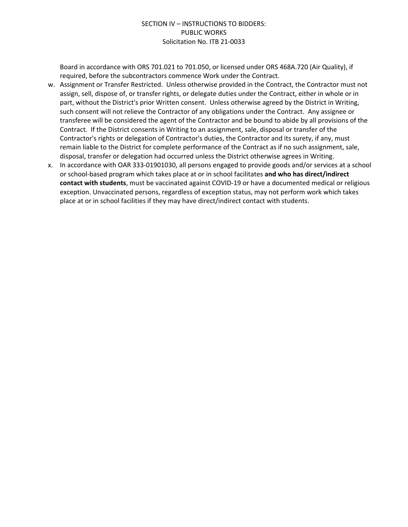Board in accordance with ORS 701.021 to 701.050, or licensed under ORS 468A.720 (Air Quality), if required, before the subcontractors commence Work under the Contract.

- w. Assignment or Transfer Restricted. Unless otherwise provided in the Contract, the Contractor must not assign, sell, dispose of, or transfer rights, or delegate duties under the Contract, either in whole or in part, without the District's prior Written consent. Unless otherwise agreed by the District in Writing, such consent will not relieve the Contractor of any obligations under the Contract. Any assignee or transferee will be considered the agent of the Contractor and be bound to abide by all provisions of the Contract. If the District consents in Writing to an assignment, sale, disposal or transfer of the Contractor's rights or delegation of Contractor's duties, the Contractor and its surety, if any, must remain liable to the District for complete performance of the Contract as if no such assignment, sale, disposal, transfer or delegation had occurred unless the District otherwise agrees in Writing.
- x. In accordance with OAR 333-01901030, all persons engaged to provide goods and/or services at a school or school-based program which takes place at or in school facilitates **and who has direct/indirect contact with students**, must be vaccinated against COVID-19 or have a documented medical or religious exception. Unvaccinated persons, regardless of exception status, may not perform work which takes place at or in school facilities if they may have direct/indirect contact with students.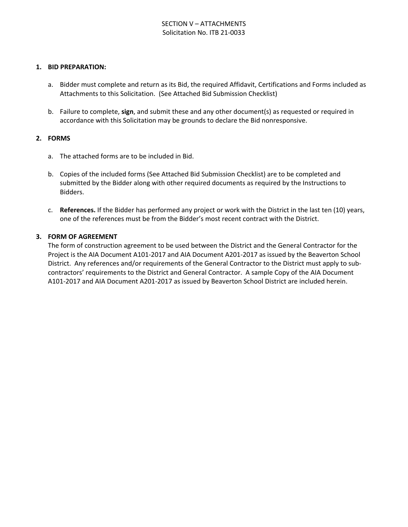#### **1. BID PREPARATION:**

- a. Bidder must complete and return as its Bid, the required Affidavit, Certifications and Forms included as Attachments to this Solicitation. (See Attached Bid Submission Checklist)
- b. Failure to complete, **sign**, and submit these and any other document(s) as requested or required in accordance with this Solicitation may be grounds to declare the Bid nonresponsive.

#### **2. FORMS**

- a. The attached forms are to be included in Bid.
- b. Copies of the included forms (See Attached Bid Submission Checklist) are to be completed and submitted by the Bidder along with other required documents as required by the Instructions to Bidders.
- c. **References.** If the Bidder has performed any project or work with the District in the last ten (10) years, one of the references must be from the Bidder's most recent contract with the District.

#### **3. FORM OF AGREEMENT**

The form of construction agreement to be used between the District and the General Contractor for the Project is the AIA Document A101-2017 and AIA Document A201-2017 as issued by the Beaverton School District. Any references and/or requirements of the General Contractor to the District must apply to subcontractors' requirements to the District and General Contractor. A sample Copy of the AIA Document A101-2017 and AIA Document A201-2017 as issued by Beaverton School District are included herein.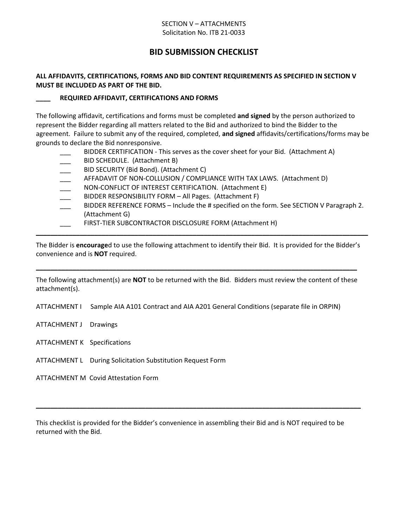#### SECTION V – ATTACHMENTS Solicitation No. ITB 21-0033

## **BID SUBMISSION CHECKLIST**

## **ALL AFFIDAVITS, CERTIFICATIONS, FORMS AND BID CONTENT REQUIREMENTS AS SPECIFIED IN SECTION V MUST BE INCLUDED AS PART OF THE BID.**

#### **\_\_\_\_ REQUIRED AFFIDAVIT, CERTIFICATIONS AND FORMS**

The following affidavit, certifications and forms must be completed **and signed** by the person authorized to represent the Bidder regarding all matters related to the Bid and authorized to bind the Bidder to the agreement. Failure to submit any of the required, completed, **and signed** affidavits/certifications/forms may be grounds to declare the Bid nonresponsive.

- BIDDER CERTIFICATION This serves as the cover sheet for your Bid. (Attachment A)
- BID SCHEDULE. (Attachment B)
- BID SECURITY (Bid Bond). (Attachment C)
- AFFADAVIT OF NON-COLLUSION / COMPLIANCE WITH TAX LAWS. (Attachment D)
- NON-CONFLICT OF INTEREST CERTIFICATION. (Attachment E)
- BIDDER RESPONSIBILITY FORM All Pages. (Attachment F)
- BIDDER REFERENCE FORMS Include the # specified on the form. See SECTION V Paragraph 2. (Attachment G)
- FIRST-TIER SUBCONTRACTOR DISCLOSURE FORM (Attachment H)

The Bidder is **encourage**d to use the following attachment to identify their Bid. It is provided for the Bidder's convenience and is **NOT** required.

**\_\_\_\_\_\_\_\_\_\_\_\_\_\_\_\_\_\_\_\_\_\_\_\_\_\_\_\_\_\_\_\_\_\_\_\_\_\_\_\_\_\_\_\_\_\_\_\_\_\_\_\_\_\_\_\_\_\_\_\_\_\_\_\_\_\_\_\_\_\_\_\_\_\_\_\_\_\_\_\_\_\_\_\_\_\_\_\_\_\_\_**

The following attachment(s) are **NOT** to be returned with the Bid. Bidders must review the content of these attachment(s).

**\_\_\_\_\_\_\_\_\_\_\_\_\_\_\_\_\_\_\_\_\_\_\_\_\_\_\_\_\_\_\_\_\_\_\_\_\_\_\_\_\_\_\_\_\_\_\_\_\_\_\_\_\_\_\_\_\_\_\_\_\_\_\_\_\_\_\_\_\_\_\_\_\_\_\_\_\_\_\_\_\_\_\_\_\_\_\_\_**

ATTACHMENT I Sample AIA A101 Contract and AIA A201 General Conditions (separate file in ORPIN)

- ATTACHMENT J Drawings
- ATTACHMENT K Specifications
- ATTACHMENT L During Solicitation Substitution Request Form

ATTACHMENT M Covid Attestation Form

This checklist is provided for the Bidder's convenience in assembling their Bid and is NOT required to be returned with the Bid.

**\_\_\_\_\_\_\_\_\_\_\_\_\_\_\_\_\_\_\_\_\_\_\_\_\_\_\_\_\_\_\_\_\_\_\_\_\_\_\_\_\_\_\_\_\_\_\_\_\_\_\_\_\_\_\_\_\_\_\_\_\_\_\_\_\_\_\_\_\_\_\_\_\_\_\_\_\_\_\_\_\_\_\_\_\_\_\_\_\_**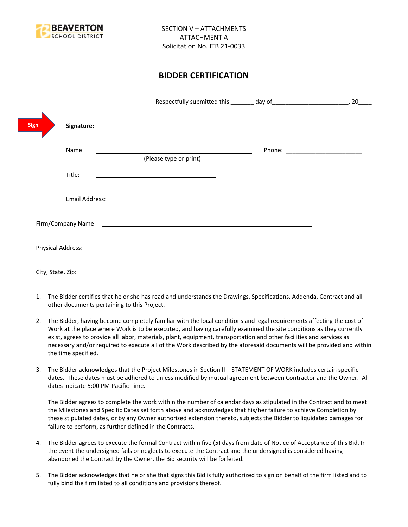

## **BIDDER CERTIFICATION**

|                          |                                                                                                                                                                                                                                      | 20 |
|--------------------------|--------------------------------------------------------------------------------------------------------------------------------------------------------------------------------------------------------------------------------------|----|
| <b>Sign</b>              |                                                                                                                                                                                                                                      |    |
| Name:                    | (Please type or print)                                                                                                                                                                                                               |    |
| Title:                   | the control of the control of the control of the control of the control of                                                                                                                                                           |    |
|                          |                                                                                                                                                                                                                                      |    |
|                          | Firm/Company Name: <u>contract the contract of the contract of the contract of the contract of the contract of the contract of the contract of the contract of the contract of the contract of the contract of the contract of t</u> |    |
| <b>Physical Address:</b> |                                                                                                                                                                                                                                      |    |
| City, State, Zip:        |                                                                                                                                                                                                                                      |    |

- 1. The Bidder certifies that he or she has read and understands the Drawings, Specifications, Addenda, Contract and all other documents pertaining to this Project.
- 2. The Bidder, having become completely familiar with the local conditions and legal requirements affecting the cost of Work at the place where Work is to be executed, and having carefully examined the site conditions as they currently exist, agrees to provide all labor, materials, plant, equipment, transportation and other facilities and services as necessary and/or required to execute all of the Work described by the aforesaid documents will be provided and within the time specified.
- 3. The Bidder acknowledges that the Project Milestones in Section II STATEMENT OF WORK includes certain specific dates. These dates must be adhered to unless modified by mutual agreement between Contractor and the Owner. All dates indicate 5:00 PM Pacific Time.

The Bidder agrees to complete the work within the number of calendar days as stipulated in the Contract and to meet the Milestones and Specific Dates set forth above and acknowledges that his/her failure to achieve Completion by these stipulated dates, or by any Owner authorized extension thereto, subjects the Bidder to liquidated damages for failure to perform, as further defined in the Contracts.

- 4. The Bidder agrees to execute the formal Contract within five (5) days from date of Notice of Acceptance of this Bid. In the event the undersigned fails or neglects to execute the Contract and the undersigned is considered having abandoned the Contract by the Owner, the Bid security will be forfeited.
- 5. The Bidder acknowledges that he or she that signs this Bid is fully authorized to sign on behalf of the firm listed and to fully bind the firm listed to all conditions and provisions thereof.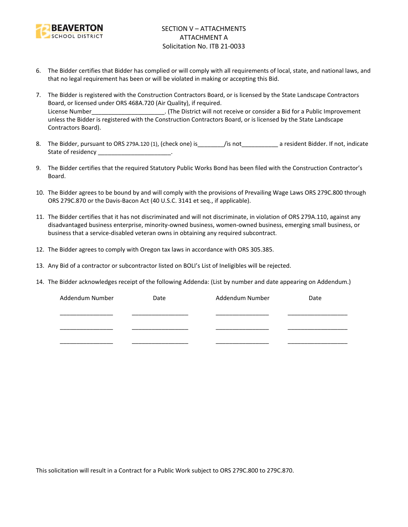

- 6. The Bidder certifies that Bidder has complied or will comply with all requirements of local, state, and national laws, and that no legal requirement has been or will be violated in making or accepting this Bid.
- 7. The Bidder is registered with the Construction Contractors Board, or is licensed by the State Landscape Contractors Board, or licensed under ORS 468A.720 (Air Quality), if required. License Number\_\_\_\_\_\_\_\_\_\_\_\_\_\_\_\_\_\_\_\_\_\_. (The District will not receive or consider a Bid for a Public Improvement unless the Bidder is registered with the Construction Contractors Board, or is licensed by the State Landscape Contractors Board).
- 8. The Bidder, pursuant to ORS 279A.120 (1), (check one) is figure is figure to a resident Bidder. If not, indicate State of residency \_\_\_\_\_\_\_\_\_\_\_\_\_\_\_\_\_\_\_\_\_\_\_\_.
- 9. The Bidder certifies that the required Statutory Public Works Bond has been filed with the Construction Contractor's Board.
- 10. The Bidder agrees to be bound by and will comply with the provisions of Prevailing Wage Laws ORS 279C.800 through ORS 279C.870 or the Davis-Bacon Act (40 U.S.C. 3141 et seq., if applicable).
- 11. The Bidder certifies that it has not discriminated and will not discriminate, in violation of ORS 279A.110, against any disadvantaged business enterprise, minority-owned business, women-owned business, emerging small business, or business that a service-disabled veteran owns in obtaining any required subcontract.
- 12. The Bidder agrees to comply with Oregon tax laws in accordance with ORS 305.385.
- 13. Any Bid of a contractor or subcontractor listed on BOLI's List of Ineligibles will be rejected.
- 14. The Bidder acknowledges receipt of the following Addenda: (List by number and date appearing on Addendum.)

| Addendum Number | Date | Addendum Number | Date |
|-----------------|------|-----------------|------|
|                 |      |                 |      |
|                 |      |                 |      |
|                 |      |                 |      |
|                 |      |                 |      |
|                 |      |                 |      |

This solicitation will result in a Contract for a Public Work subject to ORS 279C.800 to 279C.870.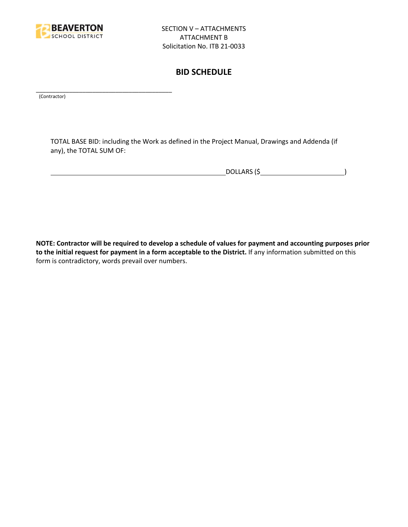

\_\_\_\_\_\_\_\_\_\_\_\_\_\_\_\_\_\_\_\_\_\_\_\_\_\_\_\_\_\_\_\_\_\_\_\_\_\_\_\_\_

## **BID SCHEDULE**

(Contractor)

TOTAL BASE BID: including the Work as defined in the Project Manual, Drawings and Addenda (if any), the TOTAL SUM OF:

DOLLARS (\$ )

**NOTE: Contractor will be required to develop a schedule of values for payment and accounting purposes prior to the initial request for payment in a form acceptable to the District.** If any information submitted on this form is contradictory, words prevail over numbers.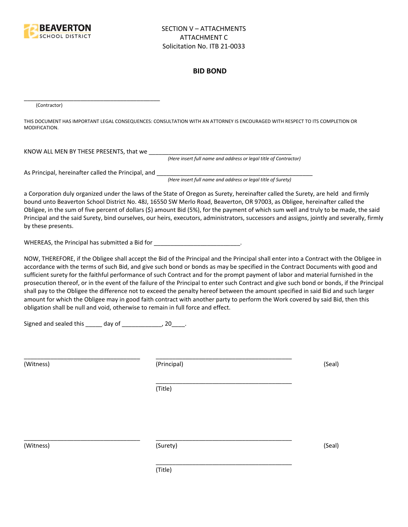

#### **BID BOND**

(Contractor)

THIS DOCUMENT HAS IMPORTANT LEGAL CONSEQUENCES: CONSULTATION WITH AN ATTORNEY IS ENCOURAGED WITH RESPECT TO ITS COMPLETION OR MODIFICATION.

KNOW ALL MEN BY THESE PRESENTS, that we

*(Here insert full name and address or legal title of Contractor)*

As Principal, hereinafter called the Principal, and \_\_\_\_\_\_\_\_\_\_\_\_\_\_\_\_\_\_\_\_\_\_\_\_\_\_\_\_

\_\_\_\_\_\_\_\_\_\_\_\_\_\_\_\_\_\_\_\_\_\_\_\_\_\_\_\_\_\_\_\_\_\_\_\_\_\_\_\_\_

*(Here insert full name and address or legal title of Surety)*

a Corporation duly organized under the laws of the State of Oregon as Surety, hereinafter called the Surety, are held and firmly bound unto Beaverton School District No. 48J, 16550 SW Merlo Road, Beaverton, OR 97003, as Obligee, hereinafter called the Obligee, in the sum of five percent of dollars (\$) amount Bid (5%), for the payment of which sum well and truly to be made, the said Principal and the said Surety, bind ourselves, our heirs, executors, administrators, successors and assigns, jointly and severally, firmly by these presents.

WHEREAS, the Principal has submitted a Bid for \_\_\_\_\_\_\_\_\_\_\_\_\_\_\_\_\_\_\_\_\_\_\_\_\_\_\_\_\_\_\_\_\_

NOW, THEREFORE, if the Obligee shall accept the Bid of the Principal and the Principal shall enter into a Contract with the Obligee in accordance with the terms of such Bid, and give such bond or bonds as may be specified in the Contract Documents with good and sufficient surety for the faithful performance of such Contract and for the prompt payment of labor and material furnished in the prosecution thereof, or in the event of the failure of the Principal to enter such Contract and give such bond or bonds, if the Principal shall pay to the Obligee the difference not to exceed the penalty hereof between the amount specified in said Bid and such larger amount for which the Obligee may in good faith contract with another party to perform the Work covered by said Bid, then this obligation shall be null and void, otherwise to remain in full force and effect.

\_\_\_\_\_\_\_\_\_\_\_\_\_\_\_\_\_\_\_\_\_\_\_\_\_\_\_\_\_\_\_\_\_\_\_\_\_\_\_\_\_

\_\_\_\_\_\_\_\_\_\_\_\_\_\_\_\_\_\_\_\_\_\_\_\_\_\_\_\_\_\_\_\_\_\_\_\_\_\_\_\_\_

Signed and sealed this  $\frac{1}{\sqrt{2}}$  day of  $\frac{1}{\sqrt{2}}$  20  $\frac{1}{\sqrt{2}}$ .

(Witness) (Principal) (Seal)

(Title)

\_\_\_\_\_\_\_\_\_\_\_\_\_\_\_\_\_\_\_\_\_\_\_\_\_\_\_\_\_\_\_\_\_\_\_ \_\_\_\_\_\_\_\_\_\_\_\_\_\_\_\_\_\_\_\_\_\_\_\_\_\_\_\_\_\_\_\_\_\_\_\_\_\_\_\_\_

(Witness) (Surety) (Seal)

\_\_\_\_\_\_\_\_\_\_\_\_\_\_\_\_\_\_\_\_\_\_\_\_\_\_\_\_\_\_\_\_\_\_\_ \_\_\_\_\_\_\_\_\_\_\_\_\_\_\_\_\_\_\_\_\_\_\_\_\_\_\_\_\_\_\_\_\_\_\_\_\_\_\_\_\_

(Title)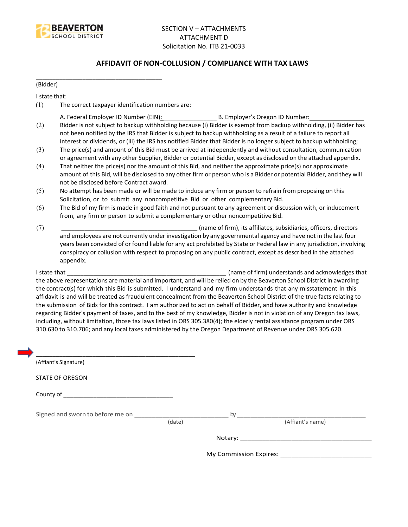

## **AFFIDAVIT OF NON-COLLUSION / COMPLIANCE WITH TAX LAWS**

(Bidder)

I state that:

(1) The correct taxpayer identification numbers are:

\_\_\_\_\_\_\_\_\_\_\_\_\_\_\_\_\_\_\_\_\_\_\_\_\_\_\_\_\_\_\_\_\_\_\_\_\_\_

- A. Federal Employer ID Number (EIN): \_\_\_\_\_\_\_\_\_\_\_\_\_\_\_\_ B. Employer's Oregon ID Number: \_\_\_\_\_\_\_\_\_\_\_\_\_\_\_\_
- (2) Bidder is not subject to backup withholding because (i) Bidder is exempt from backup withholding, (ii) Bidder has not been notified by the IRS that Bidder is subject to backup withholding as a result of a failure to report all interest or dividends, or (iii) the IRS has notified Bidder that Bidder is no longer subject to backup withholding;
- (3) The price(s) and amount of this Bid must be arrived at independently and without consultation, communication or agreement with any other Supplier, Bidder or potential Bidder, except as disclosed on the attached appendix.
- (4) That neither the price(s) nor the amount of this Bid, and neither the approximate price(s) nor approximate amount of this Bid, will be disclosed to any other firm or person who is a Bidder or potential Bidder, and they will not be disclosed before Contract award.
- (5) No attempt has been made or will be made to induce any firm or person to refrain from proposing on this Solicitation, or to submit any noncompetitive Bid or other complementary Bid.
- (6) The Bid of my firm is made in good faith and not pursuant to any agreement or discussion with, or inducement from, any firm or person to submit a complementary or other noncompetitive Bid.
- (7) \_\_\_\_\_\_\_\_\_\_\_\_\_\_\_\_\_\_\_\_\_\_\_\_\_\_\_\_\_\_\_\_\_\_\_\_\_\_\_\_\_ (name of firm), its affiliates, subsidiaries, officers, directors and employees are not currently under investigation by any governmental agency and have not in the last four years been convicted of or found liable for any act prohibited by State or Federal law in any jurisdiction, involving conspiracy or collusion with respect to proposing on any public contract, except as described in the attached appendix.

I state that **I state that**  $\blacksquare$  (name of firm) understands and acknowledges that the above representations are material and important, and will be relied on by the Beaverton School District in awarding the contract(s) for which this Bid is submitted. I understand and my firm understands that any misstatement in this affidavit is and will be treated as fraudulent concealment from the Beaverton School District of the true facts relating to the submission of Bids for this contract. I am authorized to act on behalf of Bidder, and have authority and knowledge regarding Bidder's payment of taxes, and to the best of my knowledge, Bidder is not in violation of any Oregon tax laws, including, without limitation, those tax laws listed in ORS 305.380(4); the elderly rental assistance program under ORS 310.630 to 310.706; and any local taxes administered by the Oregon Department of Revenue under ORS 305.620.

| (Affiant's Signature)            |        |                        |
|----------------------------------|--------|------------------------|
| <b>STATE OF OREGON</b>           |        |                        |
|                                  |        |                        |
| Signed and sworn to before me on | (date) | (Affiant's name)       |
|                                  |        |                        |
|                                  |        | My Commission Expires: |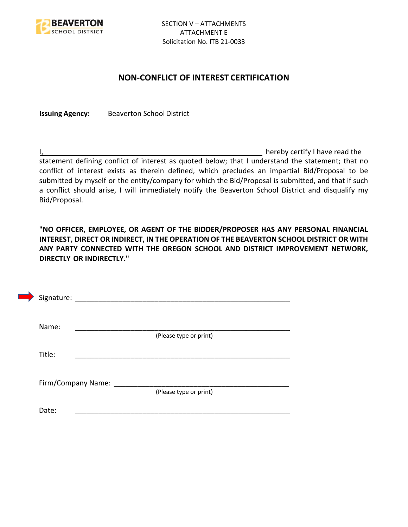

## **NON-CONFLICT OF INTEREST CERTIFICATION**

**Issuing Agency:** Beaverton School District

I, the contract of the contract of the contract of the contract of the hereby certify I have read the statement defining conflict of interest as quoted below; that I understand the statement; that no conflict of interest exists as therein defined, which precludes an impartial Bid/Proposal to be submitted by myself or the entity/company for which the Bid/Proposal is submitted, and that if such a conflict should arise, I will immediately notify the Beaverton School District and disqualify my Bid/Proposal.

**"NO OFFICER, EMPLOYEE, OR AGENT OF THE BIDDER/PROPOSER HAS ANY PERSONAL FINANCIAL INTEREST, DIRECT OR INDIRECT, IN THE OPERATION OF THE BEAVERTON SCHOOL DISTRICT OR WITH ANY PARTY CONNECTED WITH THE OREGON SCHOOL AND DISTRICT IMPROVEMENT NETWORK, DIRECTLY OR INDIRECTLY."**

|        | Signature:                                     |
|--------|------------------------------------------------|
|        | Name:<br>(Please type or print)                |
| Title: |                                                |
|        |                                                |
|        | Firm/Company Name: _<br>(Please type or print) |
| Date:  |                                                |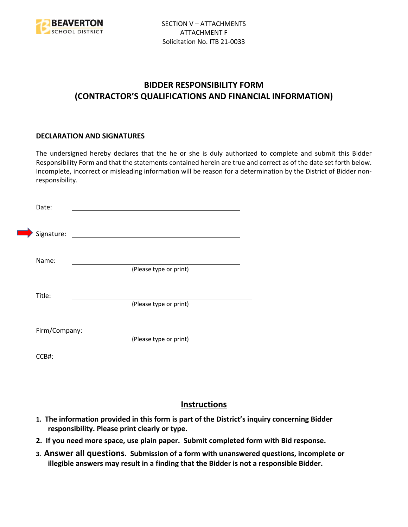

## **BIDDER RESPONSIBILITY FORM (CONTRACTOR'S QUALIFICATIONS AND FINANCIAL INFORMATION)**

#### **DECLARATION AND SIGNATURES**

The undersigned hereby declares that the he or she is duly authorized to complete and submit this Bidder Responsibility Form and that the statements contained herein are true and correct as of the date set forth below. Incomplete, incorrect or misleading information will be reason for a determination by the District of Bidder nonresponsibility.

| Date:      |                      |                                                                                                                      |  |
|------------|----------------------|----------------------------------------------------------------------------------------------------------------------|--|
| Signature: |                      | <u> 1980 - Jan Stein Stein Stein Stein Stein Stein Stein Stein Stein Stein Stein Stein Stein Stein Stein Stein S</u> |  |
| Name:      |                      | (Please type or print)                                                                                               |  |
| Title:     |                      |                                                                                                                      |  |
|            |                      | (Please type or print)                                                                                               |  |
|            | Firm/Company: ______ | (Please type or print)                                                                                               |  |
| CCB#:      |                      |                                                                                                                      |  |

## **Instructions**

- **1. The information provided in this form is part of the District's inquiry concerning Bidder responsibility. Please print clearly or type.**
- **2. If you need more space, use plain paper. Submit completed form with Bid response.**
- **3. Answer all questions. Submission of a form with unanswered questions, incomplete or illegible answers may result in a finding that the Bidder is not a responsible Bidder.**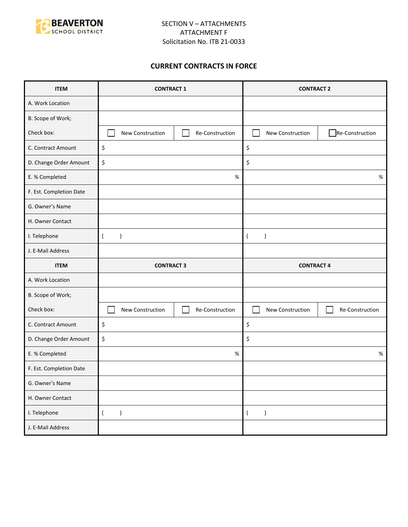

## **CURRENT CONTRACTS IN FORCE**

| <b>ITEM</b>             | <b>CONTRACT 1</b>                   | <b>CONTRACT 2</b>                   |  |
|-------------------------|-------------------------------------|-------------------------------------|--|
| A. Work Location        |                                     |                                     |  |
| B. Scope of Work;       |                                     |                                     |  |
| Check box:              | New Construction<br>Re-Construction | Re-Construction<br>New Construction |  |
| C. Contract Amount      | \$                                  | \$                                  |  |
| D. Change Order Amount  | \$                                  | \$                                  |  |
| E. % Completed          | $\%$                                | $\%$                                |  |
| F. Est. Completion Date |                                     |                                     |  |
| G. Owner's Name         |                                     |                                     |  |
| H. Owner Contact        |                                     |                                     |  |
| I. Telephone            | $\lambda$<br>$\overline{ }$         | $\lambda$<br>$\left($               |  |
| J. E-Mail Address       |                                     |                                     |  |
|                         |                                     |                                     |  |
| <b>ITEM</b>             | <b>CONTRACT 3</b>                   | <b>CONTRACT 4</b>                   |  |
| A. Work Location        |                                     |                                     |  |
| B. Scope of Work;       |                                     |                                     |  |
| Check box:              | New Construction<br>Re-Construction | New Construction<br>Re-Construction |  |
| C. Contract Amount      | \$                                  | \$                                  |  |
| D. Change Order Amount  | \$                                  | \$                                  |  |
| E. % Completed          | $\%$                                | $\%$                                |  |
| F. Est. Completion Date |                                     |                                     |  |
| G. Owner's Name         |                                     |                                     |  |
| H. Owner Contact        |                                     |                                     |  |
| I. Telephone            | $\overline{(\ }$<br>$\lambda$       | $\overline{(\ }$<br>$\lambda$       |  |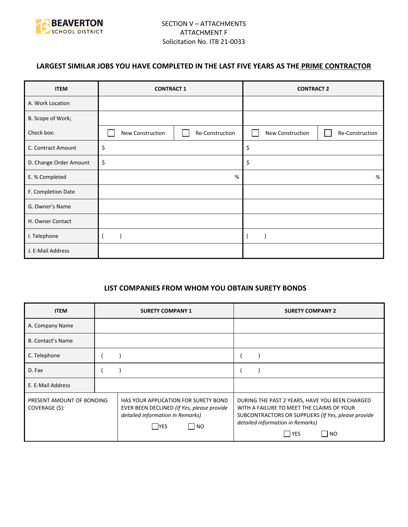

## **LARGEST SIMILAR JOBS YOU HAVE COMPLETED IN THE LAST FIVE YEARS AS THE PRIME CONTRACTOR**

| <b>ITEM</b>            | <b>CONTRACT 1</b> |                 | <b>CONTRACT 2</b> |                 |
|------------------------|-------------------|-----------------|-------------------|-----------------|
| A. Work Location       |                   |                 |                   |                 |
| B. Scope of Work;      |                   |                 |                   |                 |
| Check box:             | New Construction  | Re-Construction | New Construction  | Re-Construction |
| C. Contract Amount     | \$                |                 | \$                |                 |
| D. Change Order Amount | \$                |                 | \$                |                 |
| E. % Completed         | %                 |                 |                   | %               |
| F. Completion Date     |                   |                 |                   |                 |
| G. Owner's Name        |                   |                 |                   |                 |
| H. Owner Contact       |                   |                 |                   |                 |
| I. Telephone           |                   |                 |                   |                 |
| J. E-Mail Address      |                   |                 |                   |                 |

#### **LIST COMPANIES FROM WHOM YOU OBTAIN SURETY BONDS**

| <b>ITEM</b>                                 | <b>SURETY COMPANY 1</b>                                                                                                                       | <b>SURETY COMPANY 2</b>                                                                                                                                                                                           |  |
|---------------------------------------------|-----------------------------------------------------------------------------------------------------------------------------------------------|-------------------------------------------------------------------------------------------------------------------------------------------------------------------------------------------------------------------|--|
| A. Company Name                             |                                                                                                                                               |                                                                                                                                                                                                                   |  |
| <b>B. Contact's Name</b>                    |                                                                                                                                               |                                                                                                                                                                                                                   |  |
| C. Telephone                                |                                                                                                                                               |                                                                                                                                                                                                                   |  |
| D. Fax                                      |                                                                                                                                               |                                                                                                                                                                                                                   |  |
| E. E-Mail Address                           |                                                                                                                                               |                                                                                                                                                                                                                   |  |
| PRESENT AMOUNT OF BONDING<br>COVERAGE (\$): | HAS YOUR APPLICATION FOR SURETY BOND<br>EVER BEEN DECLINED (If Yes, please provide<br>detailed information in Remarks)<br>  NO<br><b>IYES</b> | DURING THE PAST 2 YEARS, HAVE YOU BEEN CHARGED<br>WITH A FAILURE TO MEET THE CLAIMS OF YOUR<br>SUBCONTRACTORS OR SUPPLIERS (If Yes, please provide<br>detailed information in Remarks)<br>  YES<br>N <sub>O</sub> |  |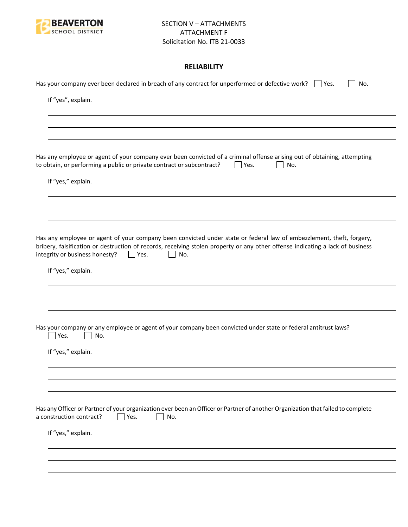

## **RELIABILITY**

| Has your company ever been declared in breach of any contract for unperformed or defective work? $\Box$ Yes.<br>No.                                                                                                                                                                                               |
|-------------------------------------------------------------------------------------------------------------------------------------------------------------------------------------------------------------------------------------------------------------------------------------------------------------------|
| If "yes", explain.                                                                                                                                                                                                                                                                                                |
|                                                                                                                                                                                                                                                                                                                   |
|                                                                                                                                                                                                                                                                                                                   |
| Has any employee or agent of your company ever been convicted of a criminal offense arising out of obtaining, attempting<br>to obtain, or performing a public or private contract or subcontract?<br>$\Box$ Yes.<br>No.                                                                                           |
| If "yes," explain.                                                                                                                                                                                                                                                                                                |
|                                                                                                                                                                                                                                                                                                                   |
| Has any employee or agent of your company been convicted under state or federal law of embezzlement, theft, forgery,<br>bribery, falsification or destruction of records, receiving stolen property or any other offense indicating a lack of business<br>integrity or business honesty?<br>No.<br>$\vert$   Yes. |
| If "yes," explain.                                                                                                                                                                                                                                                                                                |
|                                                                                                                                                                                                                                                                                                                   |
| Has your company or any employee or agent of your company been convicted under state or federal antitrust laws?<br>Yes.<br>No.                                                                                                                                                                                    |
| If "yes," explain.                                                                                                                                                                                                                                                                                                |
|                                                                                                                                                                                                                                                                                                                   |
|                                                                                                                                                                                                                                                                                                                   |
| Has any Officer or Partner of your organization ever been an Officer or Partner of another Organization that failed to complete<br>a construction contract?<br>Yes.<br>No.                                                                                                                                        |
| If "yes," explain.                                                                                                                                                                                                                                                                                                |
|                                                                                                                                                                                                                                                                                                                   |
|                                                                                                                                                                                                                                                                                                                   |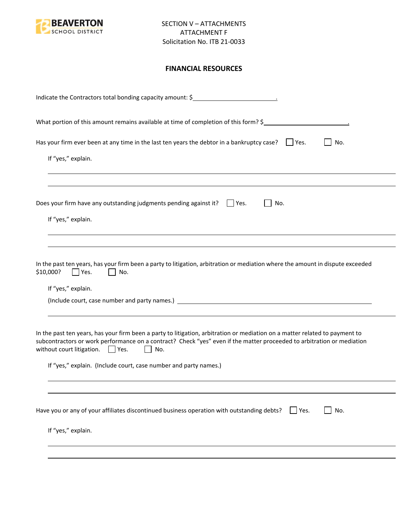

## **FINANCIAL RESOURCES**

| What portion of this amount remains available at time of completion of this form? \$<br>Has your firm ever been at any time in the last ten years the debtor in a bankruptcy case? $\Box$ Yes.<br>No.<br>If "yes," explain.<br>Does your firm have any outstanding judgments pending against it? $\Box$ Yes.<br>No.<br>If "yes," explain.<br>In the past ten years, has your firm been a party to litigation, arbitration or mediation where the amount in dispute exceeded<br>\$10,000?<br>Yes.<br>No.<br>If "yes," explain. |
|-------------------------------------------------------------------------------------------------------------------------------------------------------------------------------------------------------------------------------------------------------------------------------------------------------------------------------------------------------------------------------------------------------------------------------------------------------------------------------------------------------------------------------|
|                                                                                                                                                                                                                                                                                                                                                                                                                                                                                                                               |
|                                                                                                                                                                                                                                                                                                                                                                                                                                                                                                                               |
|                                                                                                                                                                                                                                                                                                                                                                                                                                                                                                                               |
|                                                                                                                                                                                                                                                                                                                                                                                                                                                                                                                               |
|                                                                                                                                                                                                                                                                                                                                                                                                                                                                                                                               |
|                                                                                                                                                                                                                                                                                                                                                                                                                                                                                                                               |
| In the past ten years, has your firm been a party to litigation, arbitration or mediation on a matter related to payment to<br>subcontractors or work performance on a contract? Check "yes" even if the matter proceeded to arbitration or mediation<br>without court litigation. $\Box$ Yes.<br>No.<br>$\mathbf{1}$                                                                                                                                                                                                         |
| If "yes," explain. (Include court, case number and party names.)                                                                                                                                                                                                                                                                                                                                                                                                                                                              |
|                                                                                                                                                                                                                                                                                                                                                                                                                                                                                                                               |
| Have you or any of your affiliates discontinued business operation with outstanding debts?<br>No.<br>Yes.                                                                                                                                                                                                                                                                                                                                                                                                                     |
| If "yes," explain.                                                                                                                                                                                                                                                                                                                                                                                                                                                                                                            |
|                                                                                                                                                                                                                                                                                                                                                                                                                                                                                                                               |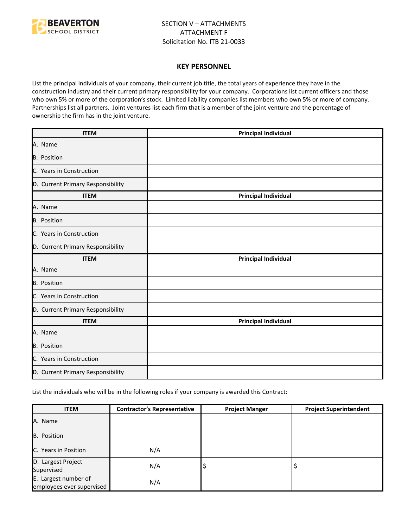

#### **KEY PERSONNEL**

List the principal individuals of your company, their current job title, the total years of experience they have in the construction industry and their current primary responsibility for your company. Corporations list current officers and those who own 5% or more of the corporation's stock. Limited liability companies list members who own 5% or more of company. Partnerships list all partners. Joint ventures list each firm that is a member of the joint venture and the percentage of ownership the firm has in the joint venture.

| <b>ITEM</b>                       | <b>Principal Individual</b> |
|-----------------------------------|-----------------------------|
| A. Name                           |                             |
| B. Position                       |                             |
| C. Years in Construction          |                             |
| D. Current Primary Responsibility |                             |
| <b>ITEM</b>                       | <b>Principal Individual</b> |
| A. Name                           |                             |
| B. Position                       |                             |
| C. Years in Construction          |                             |
| D. Current Primary Responsibility |                             |
| <b>ITEM</b>                       | <b>Principal Individual</b> |
| A. Name                           |                             |
| <b>B.</b> Position                |                             |
| C. Years in Construction          |                             |
| D. Current Primary Responsibility |                             |
| <b>ITEM</b>                       | <b>Principal Individual</b> |
| A. Name                           |                             |
| B. Position                       |                             |
| C. Years in Construction          |                             |
| D. Current Primary Responsibility |                             |

List the individuals who will be in the following roles if your company is awarded this Contract:

| <b>ITEM</b>                                       | <b>Contractor's Representative</b> | <b>Project Manger</b> | <b>Project Superintendent</b> |
|---------------------------------------------------|------------------------------------|-----------------------|-------------------------------|
| A. Name                                           |                                    |                       |                               |
| B. Position                                       |                                    |                       |                               |
| C. Years in Position                              | N/A                                |                       |                               |
| D. Largest Project<br>Supervised                  | N/A                                | ₽                     |                               |
| E. Largest number of<br>employees ever supervised | N/A                                |                       |                               |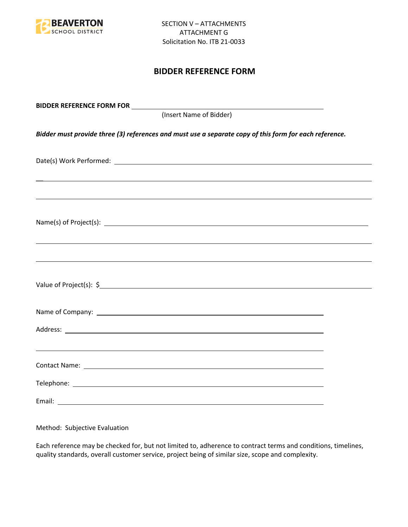

## **BIDDER REFERENCE FORM**

| BIDDER REFERENCE FORM FOR _________                                                                                                                                                                                                  |  |
|--------------------------------------------------------------------------------------------------------------------------------------------------------------------------------------------------------------------------------------|--|
| (Insert Name of Bidder)                                                                                                                                                                                                              |  |
| Bidder must provide three (3) references and must use a separate copy of this form for each reference.                                                                                                                               |  |
|                                                                                                                                                                                                                                      |  |
|                                                                                                                                                                                                                                      |  |
| Name(s) of Project(s): $\sqrt{a}$                                                                                                                                                                                                    |  |
|                                                                                                                                                                                                                                      |  |
|                                                                                                                                                                                                                                      |  |
| Name of Company: <u>contract the community of the contract of the contract of the contract of the contract of the contract of the contract of the contract of the contract of the contract of the contract of the contract of th</u> |  |
|                                                                                                                                                                                                                                      |  |
| ,我们也不会有一个人的人,我们也不会有一个人的人,我们也不会有一个人的人。""我们,我们也不会有一个人的人,我们也不会有一个人的人,我们也不会有一个人的人。""我                                                                                                                                                    |  |
|                                                                                                                                                                                                                                      |  |
|                                                                                                                                                                                                                                      |  |

Method: Subjective Evaluation

Each reference may be checked for, but not limited to, adherence to contract terms and conditions, timelines, quality standards, overall customer service, project being of similar size, scope and complexity.